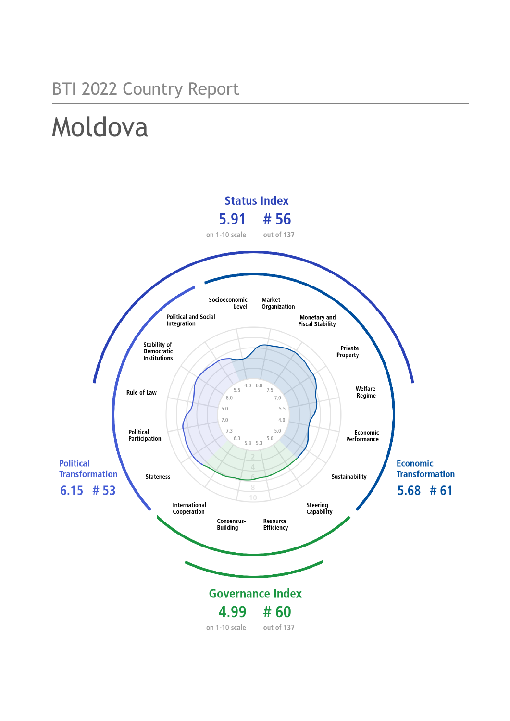# BTI 2022 Country Report

# Moldova

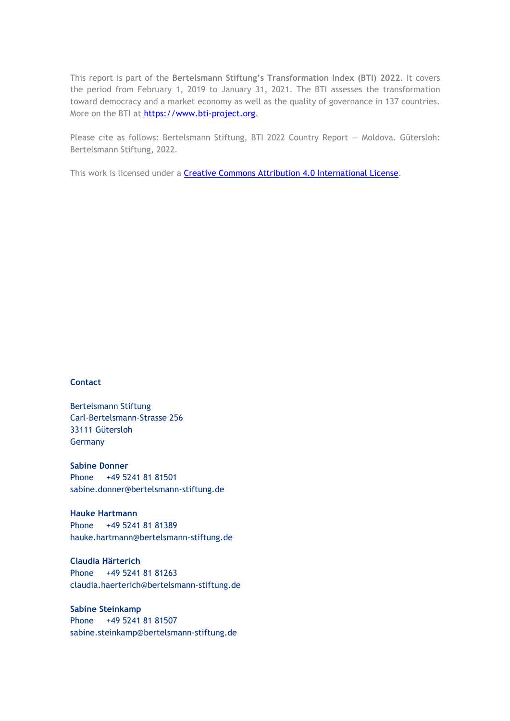This report is part of the **Bertelsmann Stiftung's Transformation Index (BTI) 2022**. It covers the period from February 1, 2019 to January 31, 2021. The BTI assesses the transformation toward democracy and a market economy as well as the quality of governance in 137 countries. More on the BTI at [https://www.bti-project.org.](https://www.bti-project.org/)

Please cite as follows: Bertelsmann Stiftung, BTI 2022 Country Report — Moldova. Gütersloh: Bertelsmann Stiftung, 2022.

This work is licensed under a **Creative Commons Attribution 4.0 International License**.

### **Contact**

Bertelsmann Stiftung Carl-Bertelsmann-Strasse 256 33111 Gütersloh Germany

**Sabine Donner** Phone +49 5241 81 81501 sabine.donner@bertelsmann-stiftung.de

**Hauke Hartmann** Phone +49 5241 81 81389 hauke.hartmann@bertelsmann-stiftung.de

**Claudia Härterich** Phone +49 5241 81 81263 claudia.haerterich@bertelsmann-stiftung.de

### **Sabine Steinkamp** Phone +49 5241 81 81507 sabine.steinkamp@bertelsmann-stiftung.de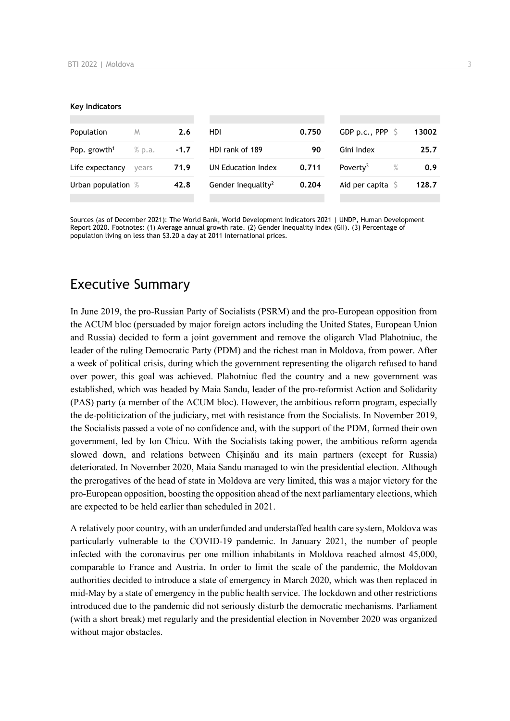#### **Key Indicators**

| Population                         | M     | 2.6    | HDI                            | 0.750 | GDP p.c., PPP $\ S$          | 13002 |
|------------------------------------|-------|--------|--------------------------------|-------|------------------------------|-------|
| Pop. growth <sup>1</sup><br>% p.a. |       | $-1.7$ | HDI rank of 189                | 90    | Gini Index                   | 25.7  |
| Life expectancy                    | vears | 71.9   | UN Education Index             | 0.711 | Poverty <sup>3</sup><br>$\%$ | 0.9   |
| Urban population %                 |       | 42.8   | Gender inequality <sup>2</sup> | 0.204 | Aid per capita $\sqrt{2}$    | 128.7 |
|                                    |       |        |                                |       |                              |       |

Sources (as of December 2021): The World Bank, World Development Indicators 2021 | UNDP, Human Development Report 2020. Footnotes: (1) Average annual growth rate. (2) Gender Inequality Index (GII). (3) Percentage of population living on less than \$3.20 a day at 2011 international prices.

# Executive Summary

In June 2019, the pro-Russian Party of Socialists (PSRM) and the pro-European opposition from the ACUM bloc (persuaded by major foreign actors including the United States, European Union and Russia) decided to form a joint government and remove the oligarch Vlad Plahotniuc, the leader of the ruling Democratic Party (PDM) and the richest man in Moldova, from power. After a week of political crisis, during which the government representing the oligarch refused to hand over power, this goal was achieved. Plahotniuc fled the country and a new government was established, which was headed by Maia Sandu, leader of the pro-reformist Action and Solidarity (PAS) party (a member of the ACUM bloc). However, the ambitious reform program, especially the de-politicization of the judiciary, met with resistance from the Socialists. In November 2019, the Socialists passed a vote of no confidence and, with the support of the PDM, formed their own government, led by Ion Chicu. With the Socialists taking power, the ambitious reform agenda slowed down, and relations between Chișinău and its main partners (except for Russia) deteriorated. In November 2020, Maia Sandu managed to win the presidential election. Although the prerogatives of the head of state in Moldova are very limited, this was a major victory for the pro-European opposition, boosting the opposition ahead of the next parliamentary elections, which are expected to be held earlier than scheduled in 2021.

A relatively poor country, with an underfunded and understaffed health care system, Moldova was particularly vulnerable to the COVID-19 pandemic. In January 2021, the number of people infected with the coronavirus per one million inhabitants in Moldova reached almost 45,000, comparable to France and Austria. In order to limit the scale of the pandemic, the Moldovan authorities decided to introduce a state of emergency in March 2020, which was then replaced in mid-May by a state of emergency in the public health service. The lockdown and other restrictions introduced due to the pandemic did not seriously disturb the democratic mechanisms. Parliament (with a short break) met regularly and the presidential election in November 2020 was organized without major obstacles.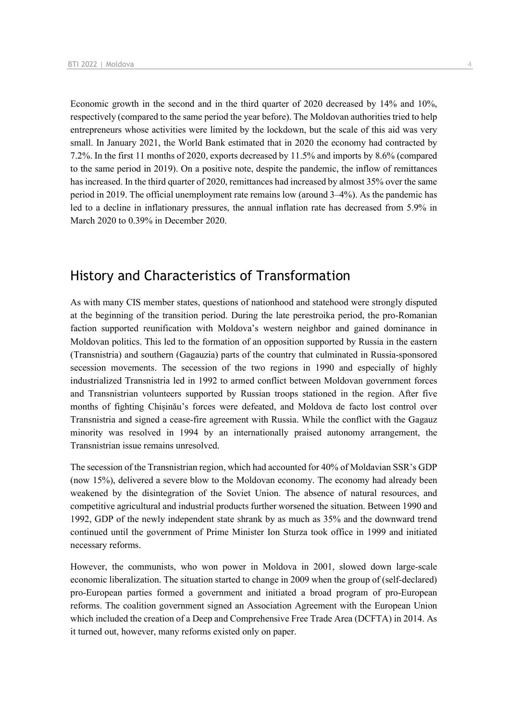Economic growth in the second and in the third quarter of 2020 decreased by 14% and 10%, respectively (compared to the same period the year before). The Moldovan authorities tried to help entrepreneurs whose activities were limited by the lockdown, but the scale of this aid was very small. In January 2021, the World Bank estimated that in 2020 the economy had contracted by 7.2%. In the first 11 months of 2020, exports decreased by 11.5% and imports by 8.6% (compared to the same period in 2019). On a positive note, despite the pandemic, the inflow of remittances has increased. In the third quarter of 2020, remittances had increased by almost 35% over the same period in 2019. The official unemployment rate remains low (around 3–4%). As the pandemic has led to a decline in inflationary pressures, the annual inflation rate has decreased from 5.9% in March 2020 to 0.39% in December 2020.

# History and Characteristics of Transformation

As with many CIS member states, questions of nationhood and statehood were strongly disputed at the beginning of the transition period. During the late perestroika period, the pro-Romanian faction supported reunification with Moldova's western neighbor and gained dominance in Moldovan politics. This led to the formation of an opposition supported by Russia in the eastern (Transnistria) and southern (Gagauzia) parts of the country that culminated in Russia-sponsored secession movements. The secession of the two regions in 1990 and especially of highly industrialized Transnistria led in 1992 to armed conflict between Moldovan government forces and Transnistrian volunteers supported by Russian troops stationed in the region. After five months of fighting Chișinău's forces were defeated, and Moldova de facto lost control over Transnistria and signed a cease-fire agreement with Russia. While the conflict with the Gagauz minority was resolved in 1994 by an internationally praised autonomy arrangement, the Transnistrian issue remains unresolved.

The secession of the Transnistrian region, which had accounted for 40% of Moldavian SSR's GDP (now 15%), delivered a severe blow to the Moldovan economy. The economy had already been weakened by the disintegration of the Soviet Union. The absence of natural resources, and competitive agricultural and industrial products further worsened the situation. Between 1990 and 1992, GDP of the newly independent state shrank by as much as 35% and the downward trend continued until the government of Prime Minister Ion Sturza took office in 1999 and initiated necessary reforms.

However, the communists, who won power in Moldova in 2001, slowed down large-scale economic liberalization. The situation started to change in 2009 when the group of (self-declared) pro-European parties formed a government and initiated a broad program of pro-European reforms. The coalition government signed an Association Agreement with the European Union which included the creation of a Deep and Comprehensive Free Trade Area (DCFTA) in 2014. As it turned out, however, many reforms existed only on paper.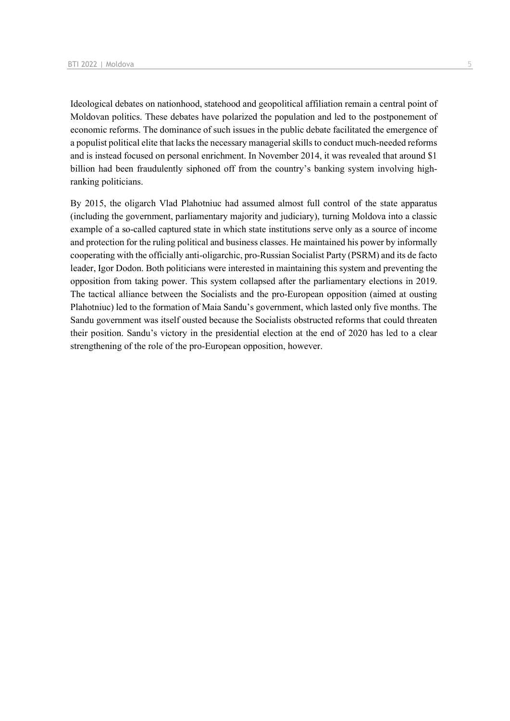Ideological debates on nationhood, statehood and geopolitical affiliation remain a central point of Moldovan politics. These debates have polarized the population and led to the postponement of economic reforms. The dominance of such issues in the public debate facilitated the emergence of a populist political elite that lacks the necessary managerial skills to conduct much-needed reforms and is instead focused on personal enrichment. In November 2014, it was revealed that around \$1 billion had been fraudulently siphoned off from the country's banking system involving highranking politicians.

By 2015, the oligarch Vlad Plahotniuc had assumed almost full control of the state apparatus (including the government, parliamentary majority and judiciary), turning Moldova into a classic example of a so-called captured state in which state institutions serve only as a source of income and protection for the ruling political and business classes. He maintained his power by informally cooperating with the officially anti-oligarchic, pro-Russian Socialist Party (PSRM) and its de facto leader, Igor Dodon. Both politicians were interested in maintaining this system and preventing the opposition from taking power. This system collapsed after the parliamentary elections in 2019. The tactical alliance between the Socialists and the pro-European opposition (aimed at ousting Plahotniuc) led to the formation of Maia Sandu's government, which lasted only five months. The Sandu government was itself ousted because the Socialists obstructed reforms that could threaten their position. Sandu's victory in the presidential election at the end of 2020 has led to a clear strengthening of the role of the pro-European opposition, however.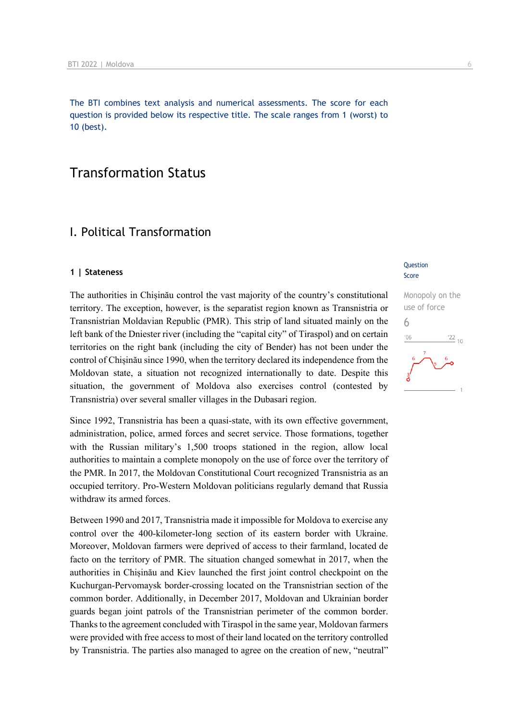The BTI combines text analysis and numerical assessments. The score for each question is provided below its respective title. The scale ranges from 1 (worst) to 10 (best).

# Transformation Status

## I. Political Transformation

#### **1 | Stateness**

The authorities in Chișinău control the vast majority of the country's constitutional territory. The exception, however, is the separatist region known as Transnistria or Transnistrian Moldavian Republic (PMR). This strip of land situated mainly on the left bank of the Dniester river (including the "capital city" of Tiraspol) and on certain territories on the right bank (including the city of Bender) has not been under the control of Chișinău since 1990, when the territory declared its independence from the Moldovan state, a situation not recognized internationally to date. Despite this situation, the government of Moldova also exercises control (contested by Transnistria) over several smaller villages in the Dubasari region.

Since 1992, Transnistria has been a quasi-state, with its own effective government, administration, police, armed forces and secret service. Those formations, together with the Russian military's 1,500 troops stationed in the region, allow local authorities to maintain a complete monopoly on the use of force over the territory of the PMR. In 2017, the Moldovan Constitutional Court recognized Transnistria as an occupied territory. Pro-Western Moldovan politicians regularly demand that Russia withdraw its armed forces.

Between 1990 and 2017, Transnistria made it impossible for Moldova to exercise any control over the 400-kilometer-long section of its eastern border with Ukraine. Moreover, Moldovan farmers were deprived of access to their farmland, located de facto on the territory of PMR. The situation changed somewhat in 2017, when the authorities in Chișinău and Kiev launched the first joint control checkpoint on the Kuchurgan-Pervomaysk border-crossing located on the Transnistrian section of the common border. Additionally, in December 2017, Moldovan and Ukrainian border guards began joint patrols of the Transnistrian perimeter of the common border. Thanks to the agreement concluded with Tiraspol in the same year, Moldovan farmers were provided with free access to most of their land located on the territory controlled by Transnistria. The parties also managed to agree on the creation of new, "neutral"

### **Question** Score

# Monopoly on the use of force 6 $\frac{22}{10}$  $106$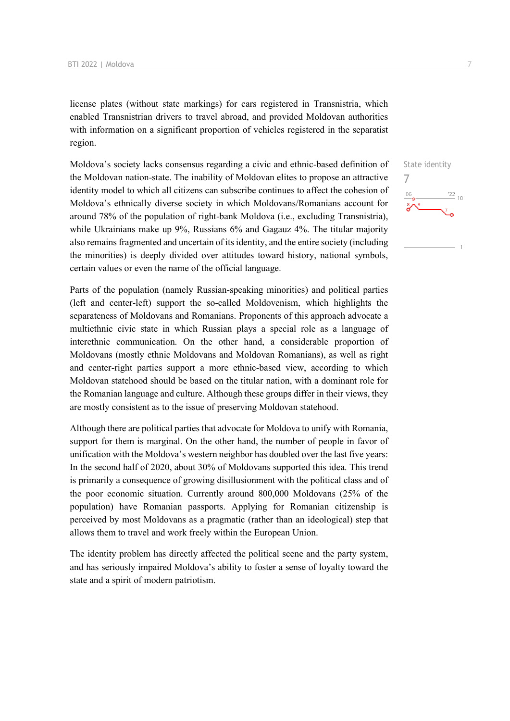license plates (without state markings) for cars registered in Transnistria, which enabled Transnistrian drivers to travel abroad, and provided Moldovan authorities with information on a significant proportion of vehicles registered in the separatist region.

Moldova's society lacks consensus regarding a civic and ethnic-based definition of the Moldovan nation-state. The inability of Moldovan elites to propose an attractive identity model to which all citizens can subscribe continues to affect the cohesion of Moldova's ethnically diverse society in which Moldovans/Romanians account for around 78% of the population of right-bank Moldova (i.e., excluding Transnistria), while Ukrainians make up 9%, Russians 6% and Gagauz 4%. The titular majority also remains fragmented and uncertain of its identity, and the entire society (including the minorities) is deeply divided over attitudes toward history, national symbols, certain values or even the name of the official language.

Parts of the population (namely Russian-speaking minorities) and political parties (left and center-left) support the so-called Moldovenism, which highlights the separateness of Moldovans and Romanians. Proponents of this approach advocate a multiethnic civic state in which Russian plays a special role as a language of interethnic communication. On the other hand, a considerable proportion of Moldovans (mostly ethnic Moldovans and Moldovan Romanians), as well as right and center-right parties support a more ethnic-based view, according to which Moldovan statehood should be based on the titular nation, with a dominant role for the Romanian language and culture. Although these groups differ in their views, they are mostly consistent as to the issue of preserving Moldovan statehood.

Although there are political parties that advocate for Moldova to unify with Romania, support for them is marginal. On the other hand, the number of people in favor of unification with the Moldova's western neighbor has doubled over the last five years: In the second half of 2020, about 30% of Moldovans supported this idea. This trend is primarily a consequence of growing disillusionment with the political class and of the poor economic situation. Currently around 800,000 Moldovans (25% of the population) have Romanian passports. Applying for Romanian citizenship is perceived by most Moldovans as a pragmatic (rather than an ideological) step that allows them to travel and work freely within the European Union.

The identity problem has directly affected the political scene and the party system, and has seriously impaired Moldova's ability to foster a sense of loyalty toward the state and a spirit of modern patriotism.

State identity 7 $\frac{22}{10}$  $^{\prime}06$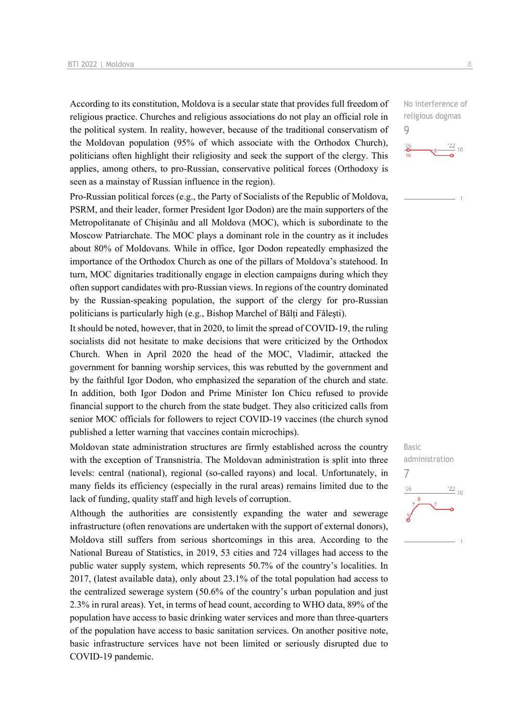According to its constitution, Moldova is a secular state that provides full freedom of religious practice. Churches and religious associations do not play an official role in the political system. In reality, however, because of the traditional conservatism of the Moldovan population (95% of which associate with the Orthodox Church), politicians often highlight their religiosity and seek the support of the clergy. This applies, among others, to pro-Russian, conservative political forces (Orthodoxy is seen as a mainstay of Russian influence in the region).

Pro-Russian political forces (e.g., the Party of Socialists of the Republic of Moldova, PSRM, and their leader, former President Igor Dodon) are the main supporters of the Metropolitanate of Chișinău and all Moldova (MOC), which is subordinate to the Moscow Patriarchate. The MOC plays a dominant role in the country as it includes about 80% of Moldovans. While in office, Igor Dodon repeatedly emphasized the importance of the Orthodox Church as one of the pillars of Moldova's statehood. In turn, MOC dignitaries traditionally engage in election campaigns during which they often support candidates with pro-Russian views. In regions of the country dominated by the Russian-speaking population, the support of the clergy for pro-Russian politicians is particularly high (e.g., Bishop Marchel of Bălți and Făleşti).

It should be noted, however, that in 2020, to limit the spread of COVID-19, the ruling socialists did not hesitate to make decisions that were criticized by the Orthodox Church. When in April 2020 the head of the MOC, Vladimir, attacked the government for banning worship services, this was rebutted by the government and by the faithful Igor Dodon, who emphasized the separation of the church and state. In addition, both Igor Dodon and Prime Minister Ion Chicu refused to provide financial support to the church from the state budget. They also criticized calls from senior MOC officials for followers to reject COVID-19 vaccines (the church synod published a letter warning that vaccines contain microchips).

Moldovan state administration structures are firmly established across the country with the exception of Transnistria. The Moldovan administration is split into three levels: central (national), regional (so-called rayons) and local. Unfortunately, in many fields its efficiency (especially in the rural areas) remains limited due to the lack of funding, quality staff and high levels of corruption.

Although the authorities are consistently expanding the water and sewerage infrastructure (often renovations are undertaken with the support of external donors), Moldova still suffers from serious shortcomings in this area. According to the National Bureau of Statistics, in 2019, 53 cities and 724 villages had access to the public water supply system, which represents 50.7% of the country's localities. In 2017, (latest available data), only about 23.1% of the total population had access to the centralized sewerage system (50.6% of the country's urban population and just 2.3% in rural areas). Yet, in terms of head count, according to WHO data, 89% of the population have access to basic drinking water services and more than three-quarters of the population have access to basic sanitation services. On another positive note, basic infrastructure services have not been limited or seriously disrupted due to COVID-19 pandemic.

No interference of religious dogmas 9



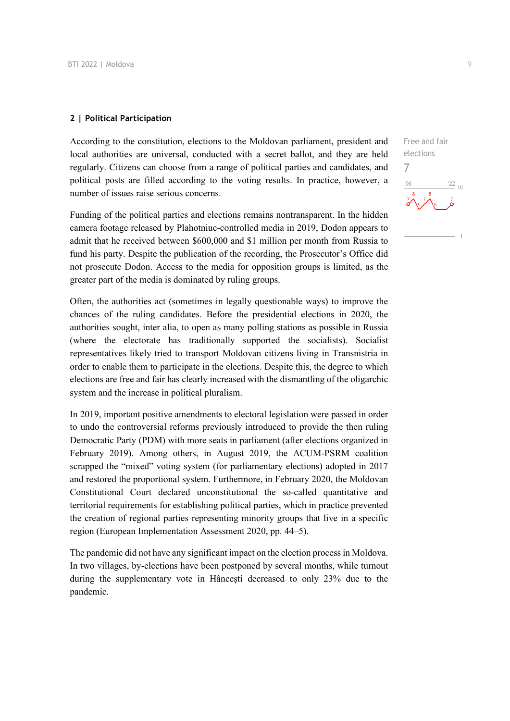### **2 | Political Participation**

According to the constitution, elections to the Moldovan parliament, president and local authorities are universal, conducted with a secret ballot, and they are held regularly. Citizens can choose from a range of political parties and candidates, and political posts are filled according to the voting results. In practice, however, a number of issues raise serious concerns.

Funding of the political parties and elections remains nontransparent. In the hidden camera footage released by Plahotniuc-controlled media in 2019, Dodon appears to admit that he received between \$600,000 and \$1 million per month from Russia to fund his party. Despite the publication of the recording, the Prosecutor's Office did not prosecute Dodon. Access to the media for opposition groups is limited, as the greater part of the media is dominated by ruling groups.

Often, the authorities act (sometimes in legally questionable ways) to improve the chances of the ruling candidates. Before the presidential elections in 2020, the authorities sought, inter alia, to open as many polling stations as possible in Russia (where the electorate has traditionally supported the socialists). Socialist representatives likely tried to transport Moldovan citizens living in Transnistria in order to enable them to participate in the elections. Despite this, the degree to which elections are free and fair has clearly increased with the dismantling of the oligarchic system and the increase in political pluralism.

In 2019, important positive amendments to electoral legislation were passed in order to undo the controversial reforms previously introduced to provide the then ruling Democratic Party (PDM) with more seats in parliament (after elections organized in February 2019). Among others, in August 2019, the ACUM-PSRM coalition scrapped the "mixed" voting system (for parliamentary elections) adopted in 2017 and restored the proportional system. Furthermore, in February 2020, the Moldovan Constitutional Court declared unconstitutional the so-called quantitative and territorial requirements for establishing political parties, which in practice prevented the creation of regional parties representing minority groups that live in a specific region (European Implementation Assessment 2020, pp. 44–5).

The pandemic did not have any significant impact on the election process in Moldova. In two villages, by-elections have been postponed by several months, while turnout during the supplementary vote in Hâncești decreased to only 23% due to the pandemic.

Free and fair elections 7 $\frac{22}{10}$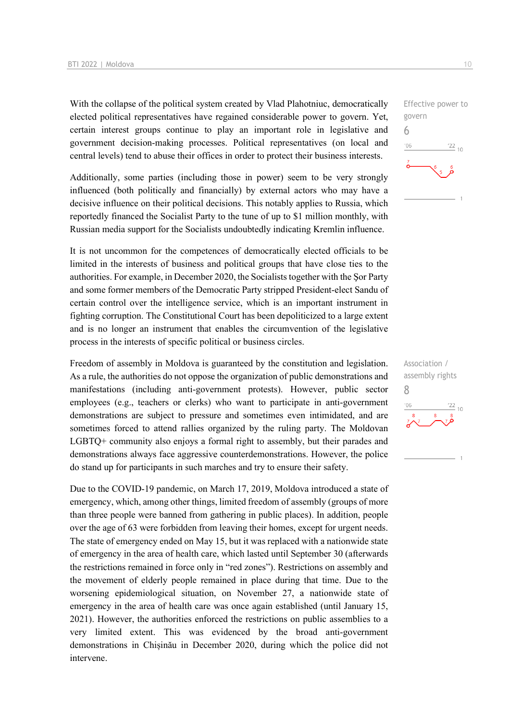With the collapse of the political system created by Vlad Plahotniuc, democratically elected political representatives have regained considerable power to govern. Yet, certain interest groups continue to play an important role in legislative and government decision-making processes. Political representatives (on local and central levels) tend to abuse their offices in order to protect their business interests.

Additionally, some parties (including those in power) seem to be very strongly influenced (both politically and financially) by external actors who may have a decisive influence on their political decisions. This notably applies to Russia, which reportedly financed the Socialist Party to the tune of up to \$1 million monthly, with Russian media support for the Socialists undoubtedly indicating Kremlin influence.

It is not uncommon for the competences of democratically elected officials to be limited in the interests of business and political groups that have close ties to the authorities. For example, in December 2020, the Socialists together with the Şor Party and some former members of the Democratic Party stripped President-elect Sandu of certain control over the intelligence service, which is an important instrument in fighting corruption. The Constitutional Court has been depoliticized to a large extent and is no longer an instrument that enables the circumvention of the legislative process in the interests of specific political or business circles.

Freedom of assembly in Moldova is guaranteed by the constitution and legislation. As a rule, the authorities do not oppose the organization of public demonstrations and manifestations (including anti-government protests). However, public sector employees (e.g., teachers or clerks) who want to participate in anti-government demonstrations are subject to pressure and sometimes even intimidated, and are sometimes forced to attend rallies organized by the ruling party. The Moldovan LGBTQ+ community also enjoys a formal right to assembly, but their parades and demonstrations always face aggressive counterdemonstrations. However, the police do stand up for participants in such marches and try to ensure their safety.

Due to the COVID-19 pandemic, on March 17, 2019, Moldova introduced a state of emergency, which, among other things, limited freedom of assembly (groups of more than three people were banned from gathering in public places). In addition, people over the age of 63 were forbidden from leaving their homes, except for urgent needs. The state of emergency ended on May 15, but it was replaced with a nationwide state of emergency in the area of health care, which lasted until September 30 (afterwards the restrictions remained in force only in "red zones"). Restrictions on assembly and the movement of elderly people remained in place during that time. Due to the worsening epidemiological situation, on November 27, a nationwide state of emergency in the area of health care was once again established (until January 15, 2021). However, the authorities enforced the restrictions on public assemblies to a very limited extent. This was evidenced by the broad anti-government demonstrations in Chișinău in December 2020, during which the police did not intervene.



Association / assembly rights 8 $\frac{22}{10}$  $^{\prime}$ O<sub>F</sub>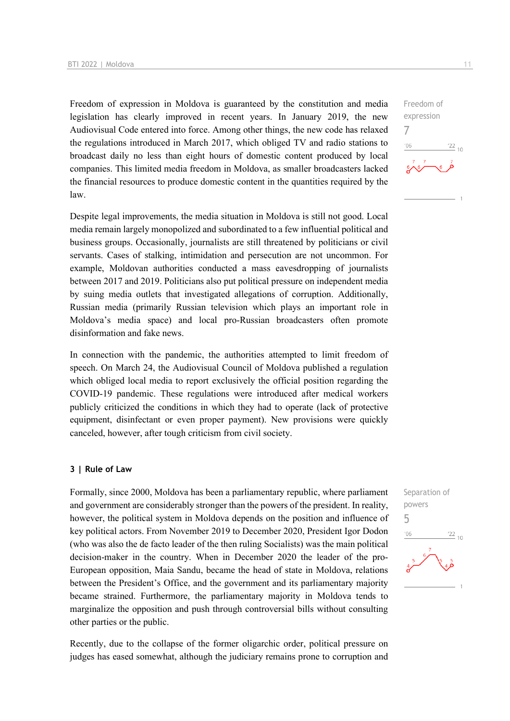Freedom of expression in Moldova is guaranteed by the constitution and media legislation has clearly improved in recent years. In January 2019, the new Audiovisual Code entered into force. Among other things, the new code has relaxed the regulations introduced in March 2017, which obliged TV and radio stations to broadcast daily no less than eight hours of domestic content produced by local companies. This limited media freedom in Moldova, as smaller broadcasters lacked the financial resources to produce domestic content in the quantities required by the law.

Despite legal improvements, the media situation in Moldova is still not good. Local media remain largely monopolized and subordinated to a few influential political and business groups. Occasionally, journalists are still threatened by politicians or civil servants. Cases of stalking, intimidation and persecution are not uncommon. For example, Moldovan authorities conducted a mass eavesdropping of journalists between 2017 and 2019. Politicians also put political pressure on independent media by suing media outlets that investigated allegations of corruption. Additionally, Russian media (primarily Russian television which plays an important role in Moldova's media space) and local pro-Russian broadcasters often promote disinformation and fake news.

In connection with the pandemic, the authorities attempted to limit freedom of speech. On March 24, the Audiovisual Council of Moldova published a regulation which obliged local media to report exclusively the official position regarding the COVID-19 pandemic. These regulations were introduced after medical workers publicly criticized the conditions in which they had to operate (lack of protective equipment, disinfectant or even proper payment). New provisions were quickly canceled, however, after tough criticism from civil society.

### **3 | Rule of Law**

Formally, since 2000, Moldova has been a parliamentary republic, where parliament and government are considerably stronger than the powers of the president. In reality, however, the political system in Moldova depends on the position and influence of key political actors. From November 2019 to December 2020, President Igor Dodon (who was also the de facto leader of the then ruling Socialists) was the main political decision-maker in the country. When in December 2020 the leader of the pro-European opposition, Maia Sandu, became the head of state in Moldova, relations between the President's Office, and the government and its parliamentary majority became strained. Furthermore, the parliamentary majority in Moldova tends to marginalize the opposition and push through controversial bills without consulting other parties or the public.

Recently, due to the collapse of the former oligarchic order, political pressure on judges has eased somewhat, although the judiciary remains prone to corruption and

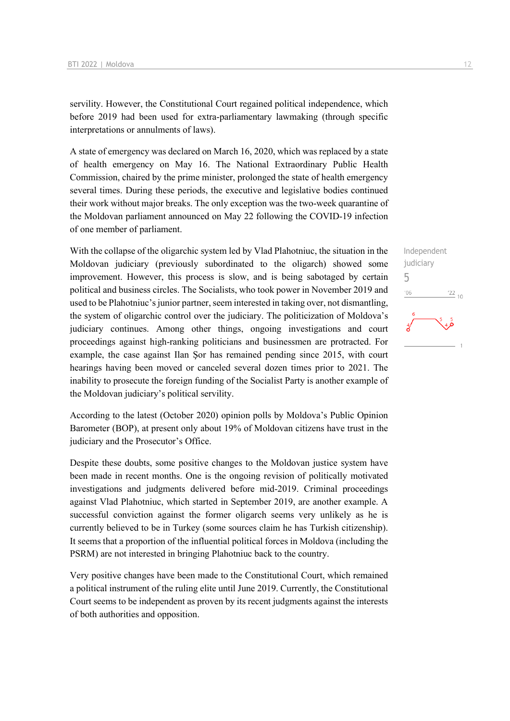servility. However, the Constitutional Court regained political independence, which before 2019 had been used for extra-parliamentary lawmaking (through specific interpretations or annulments of laws).

A state of emergency was declared on March 16, 2020, which was replaced by a state of health emergency on May 16. The National Extraordinary Public Health Commission, chaired by the prime minister, prolonged the state of health emergency several times. During these periods, the executive and legislative bodies continued their work without major breaks. The only exception was the two-week quarantine of the Moldovan parliament announced on May 22 following the COVID-19 infection of one member of parliament.

With the collapse of the oligarchic system led by Vlad Plahotniuc, the situation in the Moldovan judiciary (previously subordinated to the oligarch) showed some improvement. However, this process is slow, and is being sabotaged by certain political and business circles. The Socialists, who took power in November 2019 and used to be Plahotniuc's junior partner, seem interested in taking over, not dismantling, the system of oligarchic control over the judiciary. The politicization of Moldova's judiciary continues. Among other things, ongoing investigations and court proceedings against high-ranking politicians and businessmen are protracted. For example, the case against Ilan Şor has remained pending since 2015, with court hearings having been moved or canceled several dozen times prior to 2021. The inability to prosecute the foreign funding of the Socialist Party is another example of the Moldovan judiciary's political servility.

According to the latest (October 2020) opinion polls by Moldova's Public Opinion Barometer (BOP), at present only about 19% of Moldovan citizens have trust in the judiciary and the Prosecutor's Office.

Despite these doubts, some positive changes to the Moldovan justice system have been made in recent months. One is the ongoing revision of politically motivated investigations and judgments delivered before mid-2019. Criminal proceedings against Vlad Plahotniuc, which started in September 2019, are another example. A successful conviction against the former oligarch seems very unlikely as he is currently believed to be in Turkey (some sources claim he has Turkish citizenship). It seems that a proportion of the influential political forces in Moldova (including the PSRM) are not interested in bringing Plahotniuc back to the country.

Very positive changes have been made to the Constitutional Court, which remained a political instrument of the ruling elite until June 2019. Currently, the Constitutional Court seems to be independent as proven by its recent judgments against the interests of both authorities and opposition.

Independent judiciary 5 $^{\prime}06$  $\frac{22}{10}$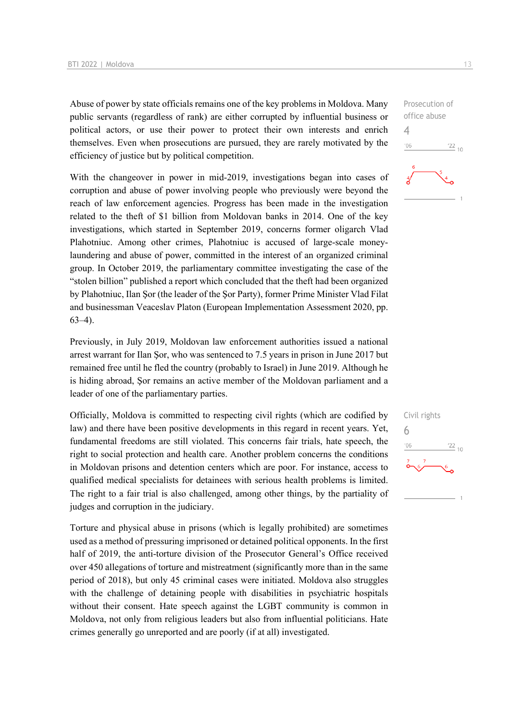Abuse of power by state officials remains one of the key problems in Moldova. Many public servants (regardless of rank) are either corrupted by influential business or political actors, or use their power to protect their own interests and enrich themselves. Even when prosecutions are pursued, they are rarely motivated by the efficiency of justice but by political competition.

With the changeover in power in mid-2019, investigations began into cases of corruption and abuse of power involving people who previously were beyond the reach of law enforcement agencies. Progress has been made in the investigation related to the theft of \$1 billion from Moldovan banks in 2014. One of the key investigations, which started in September 2019, concerns former oligarch Vlad Plahotniuc. Among other crimes, Plahotniuc is accused of large-scale moneylaundering and abuse of power, committed in the interest of an organized criminal group. In October 2019, the parliamentary committee investigating the case of the "stolen billion" published a report which concluded that the theft had been organized by Plahotniuc, Ilan Şor (the leader of the Şor Party), former Prime Minister Vlad Filat and businessman Veaceslav Platon (European Implementation Assessment 2020, pp. 63–4).

Previously, in July 2019, Moldovan law enforcement authorities issued a national arrest warrant for Ilan Şor, who was sentenced to 7.5 years in prison in June 2017 but remained free until he fled the country (probably to Israel) in June 2019. Although he is hiding abroad, Şor remains an active member of the Moldovan parliament and a leader of one of the parliamentary parties.

Officially, Moldova is committed to respecting civil rights (which are codified by law) and there have been positive developments in this regard in recent years. Yet, fundamental freedoms are still violated. This concerns fair trials, hate speech, the right to social protection and health care. Another problem concerns the conditions in Moldovan prisons and detention centers which are poor. For instance, access to qualified medical specialists for detainees with serious health problems is limited. The right to a fair trial is also challenged, among other things, by the partiality of judges and corruption in the judiciary.

Torture and physical abuse in prisons (which is legally prohibited) are sometimes used as a method of pressuring imprisoned or detained political opponents. In the first half of 2019, the anti-torture division of the Prosecutor General's Office received over 450 allegations of torture and mistreatment (significantly more than in the same period of 2018), but only 45 criminal cases were initiated. Moldova also struggles with the challenge of detaining people with disabilities in psychiatric hospitals without their consent. Hate speech against the LGBT community is common in Moldova, not only from religious leaders but also from influential politicians. Hate crimes generally go unreported and are poorly (if at all) investigated.

Prosecution of office abuse 4  $-06$  $\frac{22}{10}$ 

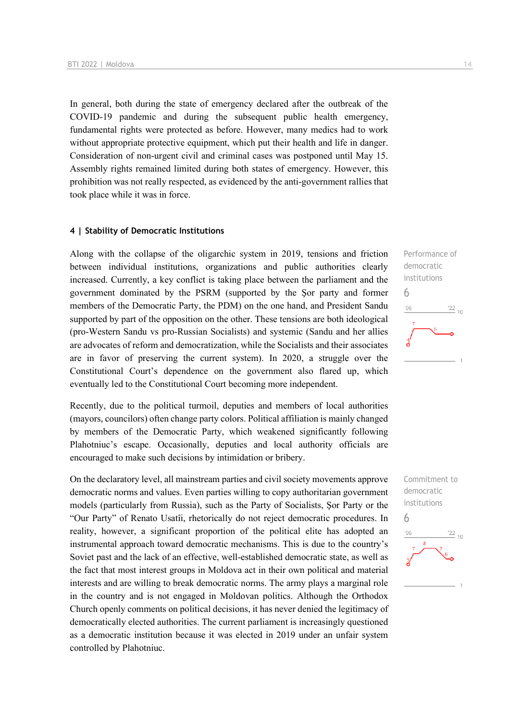In general, both during the state of emergency declared after the outbreak of the COVID-19 pandemic and during the subsequent public health emergency, fundamental rights were protected as before. However, many medics had to work without appropriate protective equipment, which put their health and life in danger. Consideration of non-urgent civil and criminal cases was postponed until May 15. Assembly rights remained limited during both states of emergency. However, this prohibition was not really respected, as evidenced by the anti-government rallies that took place while it was in force.

### **4 | Stability of Democratic Institutions**

Along with the collapse of the oligarchic system in 2019, tensions and friction between individual institutions, organizations and public authorities clearly increased. Currently, a key conflict is taking place between the parliament and the government dominated by the PSRM (supported by the Şor party and former members of the Democratic Party, the PDM) on the one hand, and President Sandu supported by part of the opposition on the other. These tensions are both ideological (pro-Western Sandu vs pro-Russian Socialists) and systemic (Sandu and her allies are advocates of reform and democratization, while the Socialists and their associates are in favor of preserving the current system). In 2020, a struggle over the Constitutional Court's dependence on the government also flared up, which eventually led to the Constitutional Court becoming more independent.

Recently, due to the political turmoil, deputies and members of local authorities (mayors, councilors) often change party colors. Political affiliation is mainly changed by members of the Democratic Party, which weakened significantly following Plahotniuc's escape. Occasionally, deputies and local authority officials are encouraged to make such decisions by intimidation or bribery.

On the declaratory level, all mainstream parties and civil society movements approve democratic norms and values. Even parties willing to copy authoritarian government models (particularly from Russia), such as the Party of Socialists, Şor Party or the "Our Party" of Renato Usatîi, rhetorically do not reject democratic procedures. In reality, however, a significant proportion of the political elite has adopted an instrumental approach toward democratic mechanisms. This is due to the country's Soviet past and the lack of an effective, well-established democratic state, as well as the fact that most interest groups in Moldova act in their own political and material interests and are willing to break democratic norms. The army plays a marginal role in the country and is not engaged in Moldovan politics. Although the Orthodox Church openly comments on political decisions, it has never denied the legitimacy of democratically elected authorities. The current parliament is increasingly questioned as a democratic institution because it was elected in 2019 under an unfair system controlled by Plahotniuc.

Performance of democratic institutions 6  $06'$  $\frac{22}{10}$ 

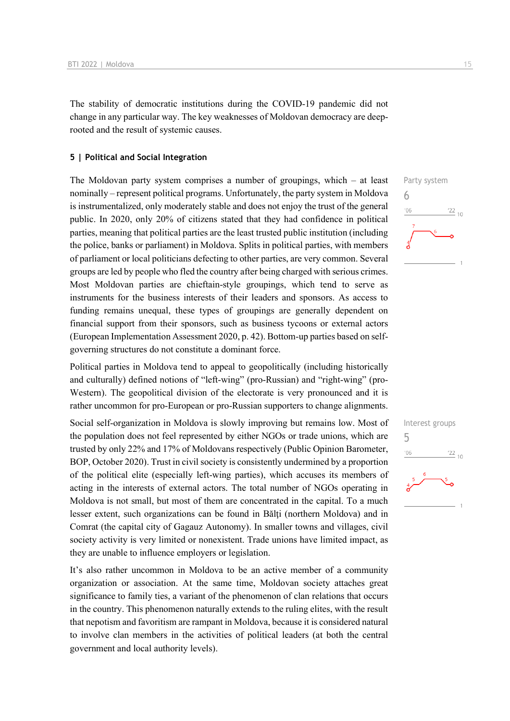The stability of democratic institutions during the COVID-19 pandemic did not change in any particular way. The key weaknesses of Moldovan democracy are deeprooted and the result of systemic causes.

### **5 | Political and Social Integration**

The Moldovan party system comprises a number of groupings, which – at least nominally – represent political programs. Unfortunately, the party system in Moldova is instrumentalized, only moderately stable and does not enjoy the trust of the general public. In 2020, only 20% of citizens stated that they had confidence in political parties, meaning that political parties are the least trusted public institution (including the police, banks or parliament) in Moldova. Splits in political parties, with members of parliament or local politicians defecting to other parties, are very common. Several groups are led by people who fled the country after being charged with serious crimes. Most Moldovan parties are chieftain-style groupings, which tend to serve as instruments for the business interests of their leaders and sponsors. As access to funding remains unequal, these types of groupings are generally dependent on financial support from their sponsors, such as business tycoons or external actors (European Implementation Assessment 2020, p. 42). Bottom-up parties based on selfgoverning structures do not constitute a dominant force.

Political parties in Moldova tend to appeal to geopolitically (including historically and culturally) defined notions of "left-wing" (pro-Russian) and "right-wing" (pro-Western). The geopolitical division of the electorate is very pronounced and it is rather uncommon for pro-European or pro-Russian supporters to change alignments.

Social self-organization in Moldova is slowly improving but remains low. Most of the population does not feel represented by either NGOs or trade unions, which are trusted by only 22% and 17% of Moldovans respectively (Public Opinion Barometer, BOP, October 2020). Trust in civil society is consistently undermined by a proportion of the political elite (especially left-wing parties), which accuses its members of acting in the interests of external actors. The total number of NGOs operating in Moldova is not small, but most of them are concentrated in the capital. To a much lesser extent, such organizations can be found in Bălti (northern Moldova) and in Comrat (the capital city of Gagauz Autonomy). In smaller towns and villages, civil society activity is very limited or nonexistent. Trade unions have limited impact, as they are unable to influence employers or legislation.

It's also rather uncommon in Moldova to be an active member of a community organization or association. At the same time, Moldovan society attaches great significance to family ties, a variant of the phenomenon of clan relations that occurs in the country. This phenomenon naturally extends to the ruling elites, with the result that nepotism and favoritism are rampant in Moldova, because it is considered natural to involve clan members in the activities of political leaders (at both the central government and local authority levels).



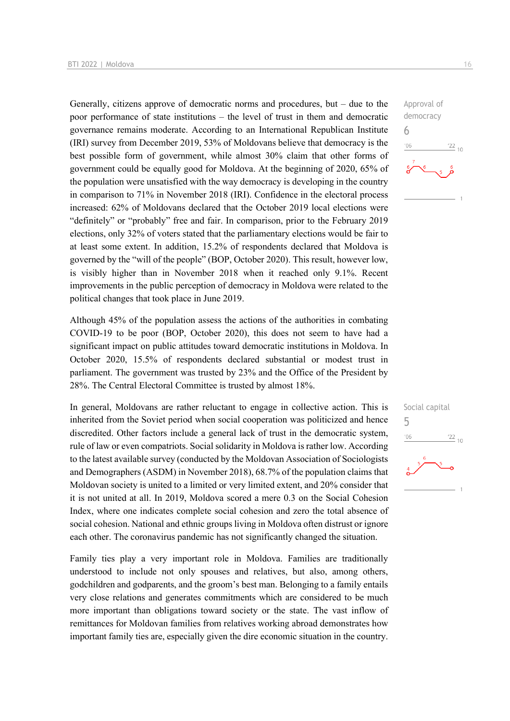Generally, citizens approve of democratic norms and procedures, but  $-$  due to the poor performance of state institutions – the level of trust in them and democratic governance remains moderate. According to an International Republican Institute (IRI) survey from December 2019, 53% of Moldovans believe that democracy is the best possible form of government, while almost 30% claim that other forms of government could be equally good for Moldova. At the beginning of 2020, 65% of the population were unsatisfied with the way democracy is developing in the country in comparison to 71% in November 2018 (IRI). Confidence in the electoral process increased: 62% of Moldovans declared that the October 2019 local elections were "definitely" or "probably" free and fair. In comparison, prior to the February 2019 elections, only 32% of voters stated that the parliamentary elections would be fair to at least some extent. In addition, 15.2% of respondents declared that Moldova is governed by the "will of the people" (BOP, October 2020). This result, however low, is visibly higher than in November 2018 when it reached only 9.1%. Recent improvements in the public perception of democracy in Moldova were related to the political changes that took place in June 2019.

Although 45% of the population assess the actions of the authorities in combating COVID-19 to be poor (BOP, October 2020), this does not seem to have had a significant impact on public attitudes toward democratic institutions in Moldova. In October 2020, 15.5% of respondents declared substantial or modest trust in parliament. The government was trusted by 23% and the Office of the President by 28%. The Central Electoral Committee is trusted by almost 18%.

In general, Moldovans are rather reluctant to engage in collective action. This is inherited from the Soviet period when social cooperation was politicized and hence discredited. Other factors include a general lack of trust in the democratic system, rule of law or even compatriots. Social solidarity in Moldova is rather low. According to the latest available survey (conducted by the Moldovan Association of Sociologists and Demographers (ASDM) in November 2018), 68.7% of the population claims that Moldovan society is united to a limited or very limited extent, and 20% consider that it is not united at all. In 2019, Moldova scored a mere 0.3 on the Social Cohesion Index, where one indicates complete social cohesion and zero the total absence of social cohesion. National and ethnic groups living in Moldova often distrust or ignore each other. The coronavirus pandemic has not significantly changed the situation.

Family ties play a very important role in Moldova. Families are traditionally understood to include not only spouses and relatives, but also, among others, godchildren and godparents, and the groom's best man. Belonging to a family entails very close relations and generates commitments which are considered to be much more important than obligations toward society or the state. The vast inflow of remittances for Moldovan families from relatives working abroad demonstrates how important family ties are, especially given the dire economic situation in the country.



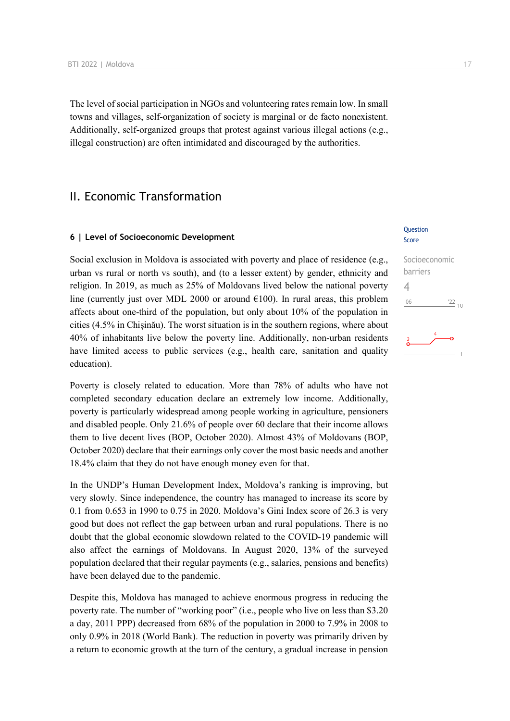The level of social participation in NGOs and volunteering rates remain low. In small towns and villages, self-organization of society is marginal or de facto nonexistent. Additionally, self-organized groups that protest against various illegal actions (e.g., illegal construction) are often intimidated and discouraged by the authorities.

## II. Economic Transformation

### **6 | Level of Socioeconomic Development**

Social exclusion in Moldova is associated with poverty and place of residence (e.g., urban vs rural or north vs south), and (to a lesser extent) by gender, ethnicity and religion. In 2019, as much as 25% of Moldovans lived below the national poverty line (currently just over MDL 2000 or around  $\epsilon$ 100). In rural areas, this problem affects about one-third of the population, but only about 10% of the population in cities (4.5% in Chișinău). The worst situation is in the southern regions, where about 40% of inhabitants live below the poverty line. Additionally, non-urban residents have limited access to public services (e.g., health care, sanitation and quality education).

Poverty is closely related to education. More than 78% of adults who have not completed secondary education declare an extremely low income. Additionally, poverty is particularly widespread among people working in agriculture, pensioners and disabled people. Only 21.6% of people over 60 declare that their income allows them to live decent lives (BOP, October 2020). Almost 43% of Moldovans (BOP, October 2020) declare that their earnings only cover the most basic needs and another 18.4% claim that they do not have enough money even for that.

In the UNDP's Human Development Index, Moldova's ranking is improving, but very slowly. Since independence, the country has managed to increase its score by 0.1 from 0.653 in 1990 to 0.75 in 2020. Moldova's Gini Index score of 26.3 is very good but does not reflect the gap between urban and rural populations. There is no doubt that the global economic slowdown related to the COVID-19 pandemic will also affect the earnings of Moldovans. In August 2020, 13% of the surveyed population declared that their regular payments (e.g., salaries, pensions and benefits) have been delayed due to the pandemic.

Despite this, Moldova has managed to achieve enormous progress in reducing the poverty rate. The number of "working poor" (i.e., people who live on less than \$3.20 a day, 2011 PPP) decreased from 68% of the population in 2000 to 7.9% in 2008 to only 0.9% in 2018 (World Bank). The reduction in poverty was primarily driven by a return to economic growth at the turn of the century, a gradual increase in pension

### **Ouestion** Score

# Socioeconomic barriers 4 $n<sub>6</sub>$  $\frac{22}{10}$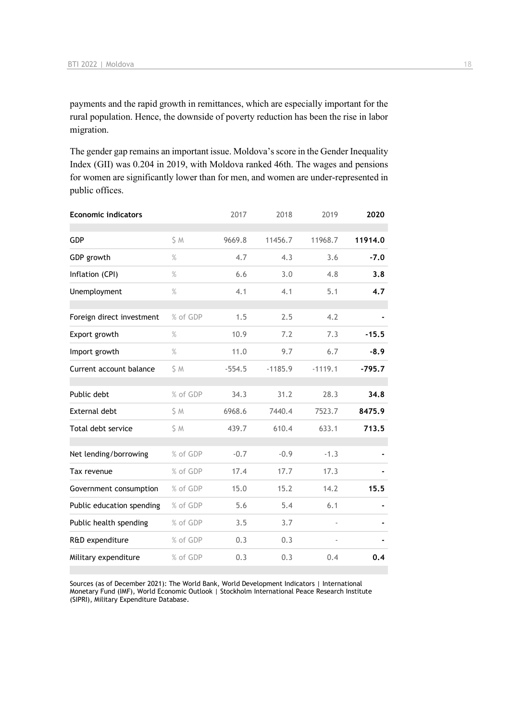payments and the rapid growth in remittances, which are especially important for the rural population. Hence, the downside of poverty reduction has been the rise in labor migration.

The gender gap remains an important issue. Moldova's score in the Gender Inequality Index (GII) was 0.204 in 2019, with Moldova ranked 46th. The wages and pensions for women are significantly lower than for men, and women are under-represented in public offices.

| <b>Economic indicators</b> |          | 2017     | 2018      | 2019      | 2020     |
|----------------------------|----------|----------|-----------|-----------|----------|
| GDP                        | S M      | 9669.8   | 11456.7   | 11968.7   | 11914.0  |
| GDP growth                 | $\%$     | 4.7      | 4.3       | 3.6       | $-7.0$   |
| Inflation (CPI)            | $\%$     | 6.6      | 3.0       | 4.8       | 3.8      |
| Unemployment               | $\%$     | 4.1      | 4.1       | 5.1       | 4.7      |
| Foreign direct investment  | % of GDP | 1.5      | 2.5       | 4.2       |          |
| Export growth              | $\%$     | 10.9     | 7.2       | 7.3       | $-15.5$  |
| Import growth              | $\%$     | 11.0     | 9.7       | 6.7       | $-8.9$   |
| Current account balance    | \$M      | $-554.5$ | $-1185.9$ | $-1119.1$ | $-795.7$ |
| Public debt                | % of GDP | 34.3     | 31.2      | 28.3      | 34.8     |
| <b>External debt</b>       | \$ M     | 6968.6   | 7440.4    | 7523.7    | 8475.9   |
| Total debt service         | \$ M     | 439.7    | 610.4     | 633.1     | 713.5    |
| Net lending/borrowing      | % of GDP | $-0.7$   | $-0.9$    | $-1.3$    |          |
| Tax revenue                | % of GDP | 17.4     | 17.7      | 17.3      |          |
| Government consumption     | % of GDP | 15.0     | 15.2      | 14.2      | 15.5     |
| Public education spending  | % of GDP | 5.6      | 5.4       | 6.1       |          |
| Public health spending     | % of GDP | 3.5      | 3.7       | ä,        |          |
| R&D expenditure            | % of GDP | 0.3      | 0.3       |           |          |
| Military expenditure       | % of GDP | 0.3      | 0.3       | 0.4       | 0.4      |

Sources (as of December 2021): The World Bank, World Development Indicators | International Monetary Fund (IMF), World Economic Outlook | Stockholm International Peace Research Institute (SIPRI), Military Expenditure Database.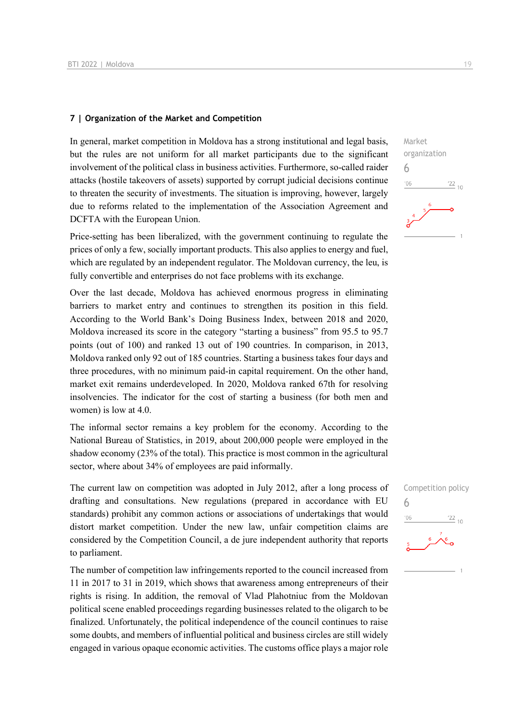### **7 | Organization of the Market and Competition**

In general, market competition in Moldova has a strong institutional and legal basis, but the rules are not uniform for all market participants due to the significant involvement of the political class in business activities. Furthermore, so-called raider attacks (hostile takeovers of assets) supported by corrupt judicial decisions continue to threaten the security of investments. The situation is improving, however, largely due to reforms related to the implementation of the Association Agreement and DCFTA with the European Union.

Price-setting has been liberalized, with the government continuing to regulate the prices of only a few, socially important products. This also applies to energy and fuel, which are regulated by an independent regulator. The Moldovan currency, the leu, is fully convertible and enterprises do not face problems with its exchange.

Over the last decade, Moldova has achieved enormous progress in eliminating barriers to market entry and continues to strengthen its position in this field. According to the World Bank's Doing Business Index, between 2018 and 2020, Moldova increased its score in the category "starting a business" from 95.5 to 95.7 points (out of 100) and ranked 13 out of 190 countries. In comparison, in 2013, Moldova ranked only 92 out of 185 countries. Starting a business takes four days and three procedures, with no minimum paid-in capital requirement. On the other hand, market exit remains underdeveloped. In 2020, Moldova ranked 67th for resolving insolvencies. The indicator for the cost of starting a business (for both men and women) is low at 4.0.

The informal sector remains a key problem for the economy. According to the National Bureau of Statistics, in 2019, about 200,000 people were employed in the shadow economy (23% of the total). This practice is most common in the agricultural sector, where about 34% of employees are paid informally.

The current law on competition was adopted in July 2012, after a long process of drafting and consultations. New regulations (prepared in accordance with EU standards) prohibit any common actions or associations of undertakings that would distort market competition. Under the new law, unfair competition claims are considered by the Competition Council, a de jure independent authority that reports to parliament.

The number of competition law infringements reported to the council increased from 11 in 2017 to 31 in 2019, which shows that awareness among entrepreneurs of their rights is rising. In addition, the removal of Vlad Plahotniuc from the Moldovan political scene enabled proceedings regarding businesses related to the oligarch to be finalized. Unfortunately, the political independence of the council continues to raise some doubts, and members of influential political and business circles are still widely engaged in various opaque economic activities. The customs office plays a major role

Market organization 6  $\frac{22}{10}$  $-06$ 

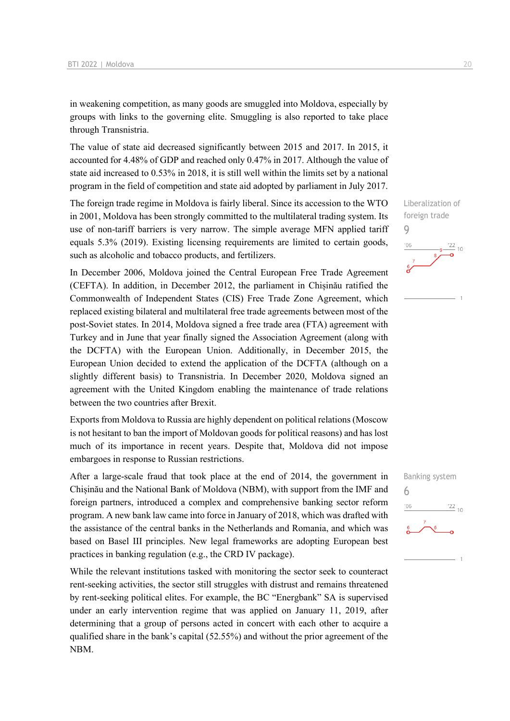in weakening competition, as many goods are smuggled into Moldova, especially by groups with links to the governing elite. Smuggling is also reported to take place through Transnistria.

The value of state aid decreased significantly between 2015 and 2017. In 2015, it accounted for 4.48% of GDP and reached only 0.47% in 2017. Although the value of state aid increased to 0.53% in 2018, it is still well within the limits set by a national program in the field of competition and state aid adopted by parliament in July 2017.

The foreign trade regime in Moldova is fairly liberal. Since its accession to the WTO in 2001, Moldova has been strongly committed to the multilateral trading system. Its use of non-tariff barriers is very narrow. The simple average MFN applied tariff equals 5.3% (2019). Existing licensing requirements are limited to certain goods, such as alcoholic and tobacco products, and fertilizers.

In December 2006, Moldova joined the Central European Free Trade Agreement (CEFTA). In addition, in December 2012, the parliament in Chișinău ratified the Commonwealth of Independent States (CIS) Free Trade Zone Agreement, which replaced existing bilateral and multilateral free trade agreements between most of the post-Soviet states. In 2014, Moldova signed a free trade area (FTA) agreement with Turkey and in June that year finally signed the Association Agreement (along with the DCFTA) with the European Union. Additionally, in December 2015, the European Union decided to extend the application of the DCFTA (although on a slightly different basis) to Transnistria. In December 2020, Moldova signed an agreement with the United Kingdom enabling the maintenance of trade relations between the two countries after Brexit.

Exports from Moldova to Russia are highly dependent on political relations (Moscow is not hesitant to ban the import of Moldovan goods for political reasons) and has lost much of its importance in recent years. Despite that, Moldova did not impose embargoes in response to Russian restrictions.

After a large-scale fraud that took place at the end of 2014, the government in Chișinău and the National Bank of Moldova (NBM), with support from the IMF and foreign partners, introduced a complex and comprehensive banking sector reform program. A new bank law came into force in January of 2018, which was drafted with the assistance of the central banks in the Netherlands and Romania, and which was based on Basel III principles. New legal frameworks are adopting European best practices in banking regulation (e.g., the CRD IV package).

While the relevant institutions tasked with monitoring the sector seek to counteract rent-seeking activities, the sector still struggles with distrust and remains threatened by rent-seeking political elites. For example, the BC "Energbank" SA is supervised under an early intervention regime that was applied on January 11, 2019, after determining that a group of persons acted in concert with each other to acquire a qualified share in the bank's capital (52.55%) and without the prior agreement of the NBM.

Liberalization of foreign trade 9  $\frac{22}{10}$  $'06$ 

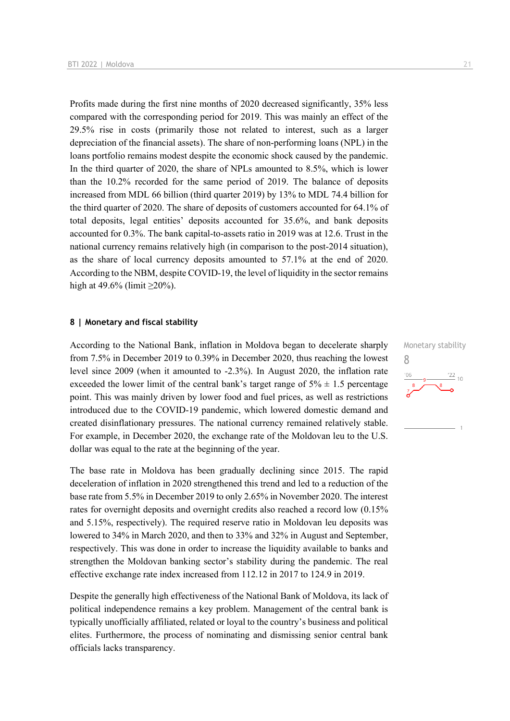Profits made during the first nine months of 2020 decreased significantly, 35% less compared with the corresponding period for 2019. This was mainly an effect of the 29.5% rise in costs (primarily those not related to interest, such as a larger depreciation of the financial assets). The share of non-performing loans (NPL) in the loans portfolio remains modest despite the economic shock caused by the pandemic. In the third quarter of 2020, the share of NPLs amounted to 8.5%, which is lower than the 10.2% recorded for the same period of 2019. The balance of deposits increased from MDL 66 billion (third quarter 2019) by 13% to MDL 74.4 billion for the third quarter of 2020. The share of deposits of customers accounted for 64.1% of total deposits, legal entities' deposits accounted for 35.6%, and bank deposits accounted for 0.3%. The bank capital-to-assets ratio in 2019 was at 12.6. Trust in the national currency remains relatively high (in comparison to the post-2014 situation), as the share of local currency deposits amounted to 57.1% at the end of 2020. According to the NBM, despite COVID-19, the level of liquidity in the sector remains high at 49.6% (limit  $\geq$ 20%).

### **8 | Monetary and fiscal stability**

According to the National Bank, inflation in Moldova began to decelerate sharply from 7.5% in December 2019 to 0.39% in December 2020, thus reaching the lowest level since 2009 (when it amounted to -2.3%). In August 2020, the inflation rate exceeded the lower limit of the central bank's target range of  $5\% \pm 1.5$  percentage point. This was mainly driven by lower food and fuel prices, as well as restrictions introduced due to the COVID-19 pandemic, which lowered domestic demand and created disinflationary pressures. The national currency remained relatively stable. For example, in December 2020, the exchange rate of the Moldovan leu to the U.S. dollar was equal to the rate at the beginning of the year.

The base rate in Moldova has been gradually declining since 2015. The rapid deceleration of inflation in 2020 strengthened this trend and led to a reduction of the base rate from 5.5% in December 2019 to only 2.65% in November 2020. The interest rates for overnight deposits and overnight credits also reached a record low (0.15% and 5.15%, respectively). The required reserve ratio in Moldovan leu deposits was lowered to 34% in March 2020, and then to 33% and 32% in August and September, respectively. This was done in order to increase the liquidity available to banks and strengthen the Moldovan banking sector's stability during the pandemic. The real effective exchange rate index increased from 112.12 in 2017 to 124.9 in 2019.

Despite the generally high effectiveness of the National Bank of Moldova, its lack of political independence remains a key problem. Management of the central bank is typically unofficially affiliated, related or loyal to the country's business and political elites. Furthermore, the process of nominating and dismissing senior central bank officials lacks transparency.

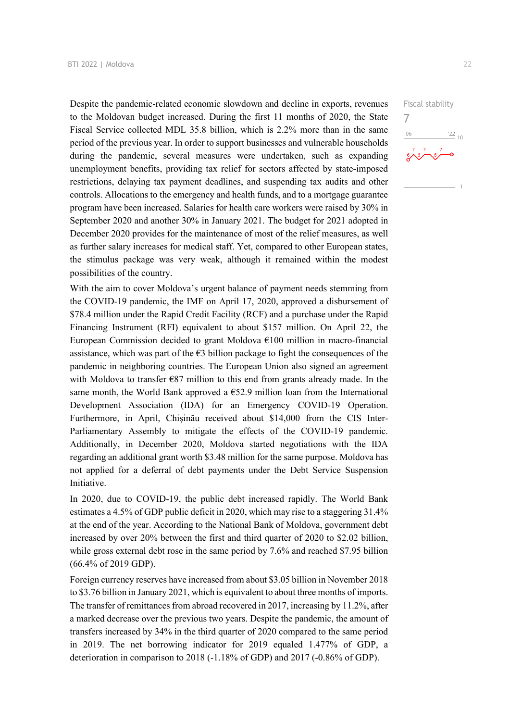Despite the pandemic-related economic slowdown and decline in exports, revenues to the Moldovan budget increased. During the first 11 months of 2020, the State Fiscal Service collected MDL 35.8 billion, which is 2.2% more than in the same period of the previous year. In order to support businesses and vulnerable households during the pandemic, several measures were undertaken, such as expanding unemployment benefits, providing tax relief for sectors affected by state-imposed restrictions, delaying tax payment deadlines, and suspending tax audits and other controls. Allocations to the emergency and health funds, and to a mortgage guarantee program have been increased. Salaries for health care workers were raised by 30% in September 2020 and another 30% in January 2021. The budget for 2021 adopted in December 2020 provides for the maintenance of most of the relief measures, as well as further salary increases for medical staff. Yet, compared to other European states, the stimulus package was very weak, although it remained within the modest possibilities of the country.

With the aim to cover Moldova's urgent balance of payment needs stemming from the COVID-19 pandemic, the IMF on April 17, 2020, approved a disbursement of \$78.4 million under the Rapid Credit Facility (RCF) and a purchase under the Rapid Financing Instrument (RFI) equivalent to about \$157 million. On April 22, the European Commission decided to grant Moldova  $E100$  million in macro-financial assistance, which was part of the  $\epsilon$ 3 billion package to fight the consequences of the pandemic in neighboring countries. The European Union also signed an agreement with Moldova to transfer  $E$ 87 million to this end from grants already made. In the same month, the World Bank approved a  $\epsilon$ 52.9 million loan from the International Development Association (IDA) for an Emergency COVID-19 Operation. Furthermore, in April, Chișinău received about \$14,000 from the CIS Inter-Parliamentary Assembly to mitigate the effects of the COVID-19 pandemic. Additionally, in December 2020, Moldova started negotiations with the IDA regarding an additional grant worth \$3.48 million for the same purpose. Moldova has not applied for a deferral of debt payments under the Debt Service Suspension Initiative.

In 2020, due to COVID-19, the public debt increased rapidly. The World Bank estimates a 4.5% of GDP public deficit in 2020, which may rise to a staggering 31.4% at the end of the year. According to the National Bank of Moldova, government debt increased by over 20% between the first and third quarter of 2020 to \$2.02 billion, while gross external debt rose in the same period by 7.6% and reached \$7.95 billion (66.4% of 2019 GDP).

Foreign currency reserves have increased from about \$3.05 billion in November 2018 to \$3.76 billion in January 2021, which is equivalent to about three months of imports. The transfer of remittances from abroad recovered in 2017, increasing by 11.2%, after a marked decrease over the previous two years. Despite the pandemic, the amount of transfers increased by 34% in the third quarter of 2020 compared to the same period in 2019. The net borrowing indicator for 2019 equaled 1.477% of GDP, a deterioration in comparison to 2018 (-1.18% of GDP) and 2017 (-0.86% of GDP).

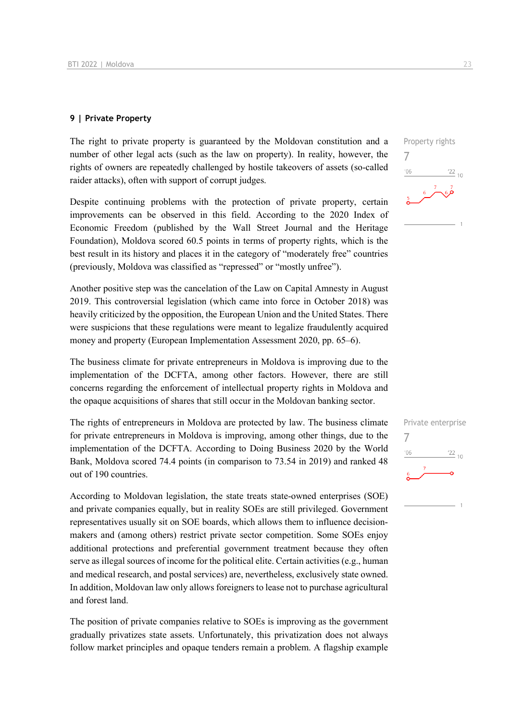### **9 | Private Property**

The right to private property is guaranteed by the Moldovan constitution and a number of other legal acts (such as the law on property). In reality, however, the rights of owners are repeatedly challenged by hostile takeovers of assets (so-called raider attacks), often with support of corrupt judges.

Despite continuing problems with the protection of private property, certain improvements can be observed in this field. According to the 2020 Index of Economic Freedom (published by the Wall Street Journal and the Heritage Foundation), Moldova scored 60.5 points in terms of property rights, which is the best result in its history and places it in the category of "moderately free" countries (previously, Moldova was classified as "repressed" or "mostly unfree").

Another positive step was the cancelation of the Law on Capital Amnesty in August 2019. This controversial legislation (which came into force in October 2018) was heavily criticized by the opposition, the European Union and the United States. There were suspicions that these regulations were meant to legalize fraudulently acquired money and property (European Implementation Assessment 2020, pp. 65–6).

The business climate for private entrepreneurs in Moldova is improving due to the implementation of the DCFTA, among other factors. However, there are still concerns regarding the enforcement of intellectual property rights in Moldova and the opaque acquisitions of shares that still occur in the Moldovan banking sector.

The rights of entrepreneurs in Moldova are protected by law. The business climate for private entrepreneurs in Moldova is improving, among other things, due to the implementation of the DCFTA. According to Doing Business 2020 by the World Bank, Moldova scored 74.4 points (in comparison to 73.54 in 2019) and ranked 48 out of 190 countries.

According to Moldovan legislation, the state treats state-owned enterprises (SOE) and private companies equally, but in reality SOEs are still privileged. Government representatives usually sit on SOE boards, which allows them to influence decisionmakers and (among others) restrict private sector competition. Some SOEs enjoy additional protections and preferential government treatment because they often serve as illegal sources of income for the political elite. Certain activities (e.g., human and medical research, and postal services) are, nevertheless, exclusively state owned. In addition, Moldovan law only allows foreigners to lease not to purchase agricultural and forest land.

The position of private companies relative to SOEs is improving as the government gradually privatizes state assets. Unfortunately, this privatization does not always follow market principles and opaque tenders remain a problem. A flagship example



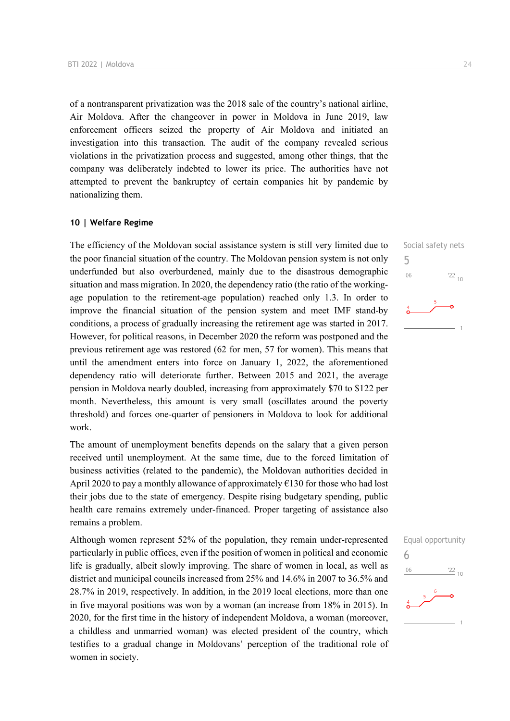of a nontransparent privatization was the 2018 sale of the country's national airline, Air Moldova. After the changeover in power in Moldova in June 2019, law enforcement officers seized the property of Air Moldova and initiated an investigation into this transaction. The audit of the company revealed serious violations in the privatization process and suggested, among other things, that the company was deliberately indebted to lower its price. The authorities have not attempted to prevent the bankruptcy of certain companies hit by pandemic by nationalizing them.

### **10 | Welfare Regime**

The efficiency of the Moldovan social assistance system is still very limited due to the poor financial situation of the country. The Moldovan pension system is not only underfunded but also overburdened, mainly due to the disastrous demographic situation and mass migration. In 2020, the dependency ratio (the ratio of the workingage population to the retirement-age population) reached only 1.3. In order to improve the financial situation of the pension system and meet IMF stand-by conditions, a process of gradually increasing the retirement age was started in 2017. However, for political reasons, in December 2020 the reform was postponed and the previous retirement age was restored (62 for men, 57 for women). This means that until the amendment enters into force on January 1, 2022, the aforementioned dependency ratio will deteriorate further. Between 2015 and 2021, the average pension in Moldova nearly doubled, increasing from approximately \$70 to \$122 per month. Nevertheless, this amount is very small (oscillates around the poverty threshold) and forces one-quarter of pensioners in Moldova to look for additional work.

The amount of unemployment benefits depends on the salary that a given person received until unemployment. At the same time, due to the forced limitation of business activities (related to the pandemic), the Moldovan authorities decided in April 2020 to pay a monthly allowance of approximately €130 for those who had lost their jobs due to the state of emergency. Despite rising budgetary spending, public health care remains extremely under-financed. Proper targeting of assistance also remains a problem.

Although women represent 52% of the population, they remain under-represented particularly in public offices, even if the position of women in political and economic life is gradually, albeit slowly improving. The share of women in local, as well as district and municipal councils increased from 25% and 14.6% in 2007 to 36.5% and 28.7% in 2019, respectively. In addition, in the 2019 local elections, more than one in five mayoral positions was won by a woman (an increase from 18% in 2015). In 2020, for the first time in the history of independent Moldova, a woman (moreover, a childless and unmarried woman) was elected president of the country, which testifies to a gradual change in Moldovans' perception of the traditional role of women in society.



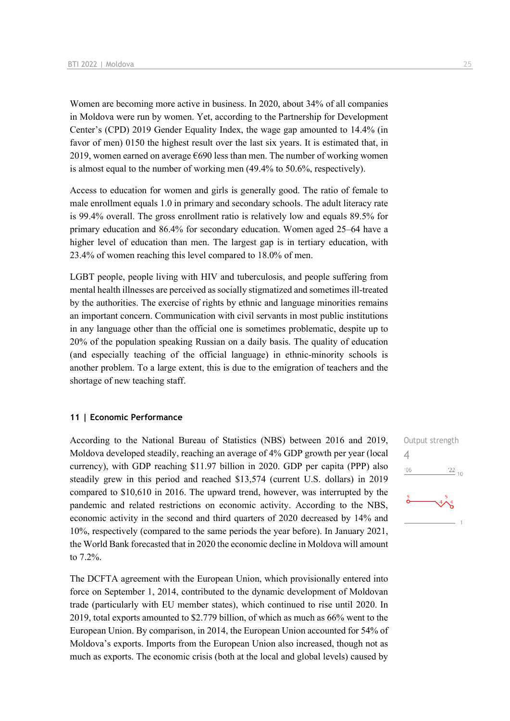Women are becoming more active in business. In 2020, about 34% of all companies in Moldova were run by women. Yet, according to the Partnership for Development Center's (CPD) 2019 Gender Equality Index, the wage gap amounted to 14.4% (in favor of men) 0150 the highest result over the last six years. It is estimated that, in 2019, women earned on average  $\epsilon$ 690 less than men. The number of working women is almost equal to the number of working men (49.4% to 50.6%, respectively).

Access to education for women and girls is generally good. The ratio of female to male enrollment equals 1.0 in primary and secondary schools. The adult literacy rate is 99.4% overall. The gross enrollment ratio is relatively low and equals 89.5% for primary education and 86.4% for secondary education. Women aged 25–64 have a higher level of education than men. The largest gap is in tertiary education, with 23.4% of women reaching this level compared to 18.0% of men.

LGBT people, people living with HIV and tuberculosis, and people suffering from mental health illnesses are perceived as socially stigmatized and sometimes ill-treated by the authorities. The exercise of rights by ethnic and language minorities remains an important concern. Communication with civil servants in most public institutions in any language other than the official one is sometimes problematic, despite up to 20% of the population speaking Russian on a daily basis. The quality of education (and especially teaching of the official language) in ethnic-minority schools is another problem. To a large extent, this is due to the emigration of teachers and the shortage of new teaching staff.

### **11 | Economic Performance**

According to the National Bureau of Statistics (NBS) between 2016 and 2019, Moldova developed steadily, reaching an average of 4% GDP growth per year (local currency), with GDP reaching \$11.97 billion in 2020. GDP per capita (PPP) also steadily grew in this period and reached \$13,574 (current U.S. dollars) in 2019 compared to \$10,610 in 2016. The upward trend, however, was interrupted by the pandemic and related restrictions on economic activity. According to the NBS, economic activity in the second and third quarters of 2020 decreased by 14% and 10%, respectively (compared to the same periods the year before). In January 2021, the World Bank forecasted that in 2020 the economic decline in Moldova will amount to 7.2%.

The DCFTA agreement with the European Union, which provisionally entered into force on September 1, 2014, contributed to the dynamic development of Moldovan trade (particularly with EU member states), which continued to rise until 2020. In 2019, total exports amounted to \$2.779 billion, of which as much as 66% went to the European Union. By comparison, in 2014, the European Union accounted for 54% of Moldova's exports. Imports from the European Union also increased, though not as much as exports. The economic crisis (both at the local and global levels) caused by

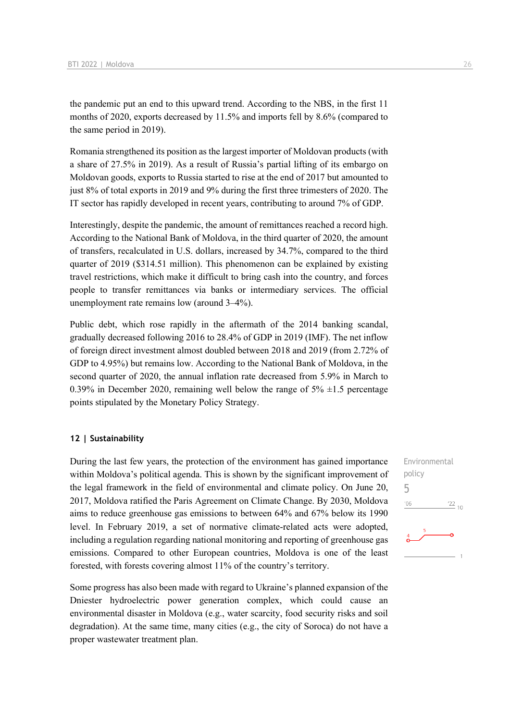the pandemic put an end to this upward trend. According to the NBS, in the first 11 months of 2020, exports decreased by 11.5% and imports fell by 8.6% (compared to the same period in 2019).

Romania strengthened its position as the largest importer of Moldovan products (with a share of 27.5% in 2019). As a result of Russia's partial lifting of its embargo on Moldovan goods, exports to Russia started to rise at the end of 2017 but amounted to just 8% of total exports in 2019 and 9% during the first three trimesters of 2020. The IT sector has rapidly developed in recent years, contributing to around 7% of GDP.

Interestingly, despite the pandemic, the amount of remittances reached a record high. According to the National Bank of Moldova, in the third quarter of 2020, the amount of transfers, recalculated in U.S. dollars, increased by 34.7%, compared to the third quarter of 2019 (\$314.51 million). This phenomenon can be explained by existing travel restrictions, which make it difficult to bring cash into the country, and forces people to transfer remittances via banks or intermediary services. The official unemployment rate remains low (around 3–4%).

Public debt, which rose rapidly in the aftermath of the 2014 banking scandal, gradually decreased following 2016 to 28.4% of GDP in 2019 (IMF). The net inflow of foreign direct investment almost doubled between 2018 and 2019 (from 2.72% of GDP to 4.95%) but remains low. According to the National Bank of Moldova, in the second quarter of 2020, the annual inflation rate decreased from 5.9% in March to 0.39% in December 2020, remaining well below the range of  $5\% \pm 1.5$  percentage points stipulated by the Monetary Policy Strategy.

### **12 | Sustainability**

During the last few years, the protection of the environment has gained importance within Moldova's political agenda. This is shown by the significant improvement of the legal framework in the field of environmental and climate policy. On June 20, 2017, Moldova ratified the Paris Agreement on Climate Change. By 2030, Moldova aims to reduce greenhouse gas emissions to between 64% and 67% below its 1990 level. In February 2019, a set of normative climate-related acts were adopted, including a regulation regarding national monitoring and reporting of greenhouse gas emissions. Compared to other European countries, Moldova is one of the least forested, with forests covering almost 11% of the country's territory.

Some progress has also been made with regard to Ukraine's planned expansion of the Dniester hydroelectric power generation complex, which could cause an environmental disaster in Moldova (e.g., water scarcity, food security risks and soil degradation). At the same time, many cities (e.g., the city of Soroca) do not have a proper wastewater treatment plan.

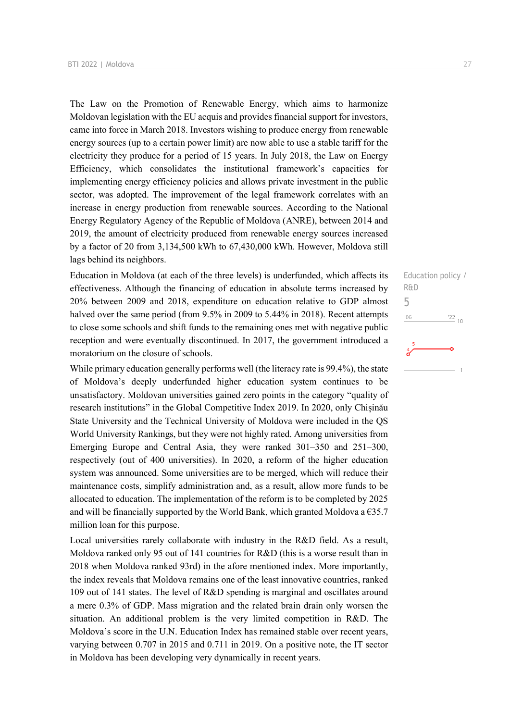The Law on the Promotion of Renewable Energy, which aims to harmonize Moldovan legislation with the EU acquis and provides financial support for investors, came into force in March 2018. Investors wishing to produce energy from renewable energy sources (up to a certain power limit) are now able to use a stable tariff for the electricity they produce for a period of 15 years. In July 2018, the Law on Energy Efficiency, which consolidates the institutional framework's capacities for implementing energy efficiency policies and allows private investment in the public sector, was adopted. The improvement of the legal framework correlates with an increase in energy production from renewable sources. According to the National Energy Regulatory Agency of the Republic of Moldova (ANRE), between 2014 and 2019, the amount of electricity produced from renewable energy sources increased by a factor of 20 from 3,134,500 kWh to 67,430,000 kWh. However, Moldova still lags behind its neighbors.

Education in Moldova (at each of the three levels) is underfunded, which affects its effectiveness. Although the financing of education in absolute terms increased by 20% between 2009 and 2018, expenditure on education relative to GDP almost halved over the same period (from 9.5% in 2009 to 5.44% in 2018). Recent attempts to close some schools and shift funds to the remaining ones met with negative public reception and were eventually discontinued. In 2017, the government introduced a moratorium on the closure of schools.

While primary education generally performs well (the literacy rate is 99.4%), the state of Moldova's deeply underfunded higher education system continues to be unsatisfactory. Moldovan universities gained zero points in the category "quality of research institutions" in the Global Competitive Index 2019. In 2020, only Chișinău State University and the Technical University of Moldova were included in the QS World University Rankings, but they were not highly rated. Among universities from Emerging Europe and Central Asia, they were ranked 301–350 and 251–300, respectively (out of 400 universities). In 2020, a reform of the higher education system was announced. Some universities are to be merged, which will reduce their maintenance costs, simplify administration and, as a result, allow more funds to be allocated to education. The implementation of the reform is to be completed by 2025 and will be financially supported by the World Bank, which granted Moldova a  $\epsilon$ 35.7 million loan for this purpose.

Local universities rarely collaborate with industry in the R&D field. As a result, Moldova ranked only 95 out of 141 countries for R&D (this is a worse result than in 2018 when Moldova ranked 93rd) in the afore mentioned index. More importantly, the index reveals that Moldova remains one of the least innovative countries, ranked 109 out of 141 states. The level of R&D spending is marginal and oscillates around a mere 0.3% of GDP. Mass migration and the related brain drain only worsen the situation. An additional problem is the very limited competition in R&D. The Moldova's score in the U.N. Education Index has remained stable over recent years, varying between 0.707 in 2015 and 0.711 in 2019. On a positive note, the IT sector in Moldova has been developing very dynamically in recent years.

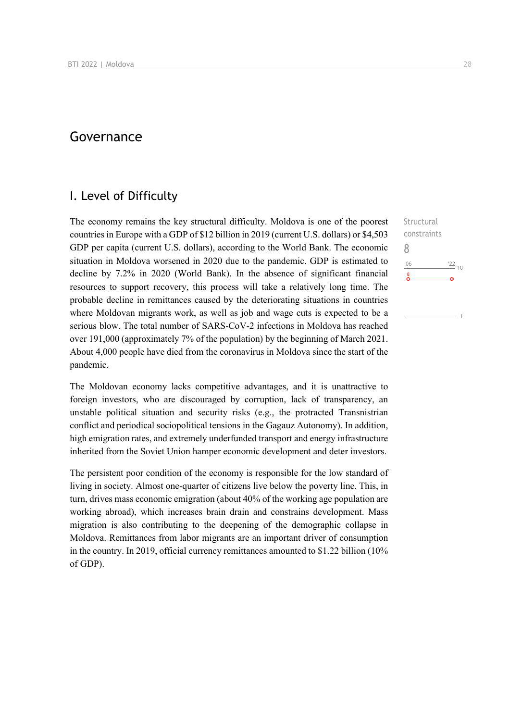### Governance

### I. Level of Difficulty

The economy remains the key structural difficulty. Moldova is one of the poorest countries in Europe with a GDP of \$12 billion in 2019 (current U.S. dollars) or \$4,503 GDP per capita (current U.S. dollars), according to the World Bank. The economic situation in Moldova worsened in 2020 due to the pandemic. GDP is estimated to decline by 7.2% in 2020 (World Bank). In the absence of significant financial resources to support recovery, this process will take a relatively long time. The probable decline in remittances caused by the deteriorating situations in countries where Moldovan migrants work, as well as job and wage cuts is expected to be a serious blow. The total number of SARS-CoV-2 infections in Moldova has reached over 191,000 (approximately 7% of the population) by the beginning of March 2021. About 4,000 people have died from the coronavirus in Moldova since the start of the pandemic.

The Moldovan economy lacks competitive advantages, and it is unattractive to foreign investors, who are discouraged by corruption, lack of transparency, an unstable political situation and security risks (e.g., the protracted Transnistrian conflict and periodical sociopolitical tensions in the Gagauz Autonomy). In addition, high emigration rates, and extremely underfunded transport and energy infrastructure inherited from the Soviet Union hamper economic development and deter investors.

The persistent poor condition of the economy is responsible for the low standard of living in society. Almost one-quarter of citizens live below the poverty line. This, in turn, drives mass economic emigration (about 40% of the working age population are working abroad), which increases brain drain and constrains development. Mass migration is also contributing to the deepening of the demographic collapse in Moldova. Remittances from labor migrants are an important driver of consumption in the country. In 2019, official currency remittances amounted to \$1.22 billion (10% of GDP).

**Structural** constraints  $^{\prime}06$  $^{22}$  10

8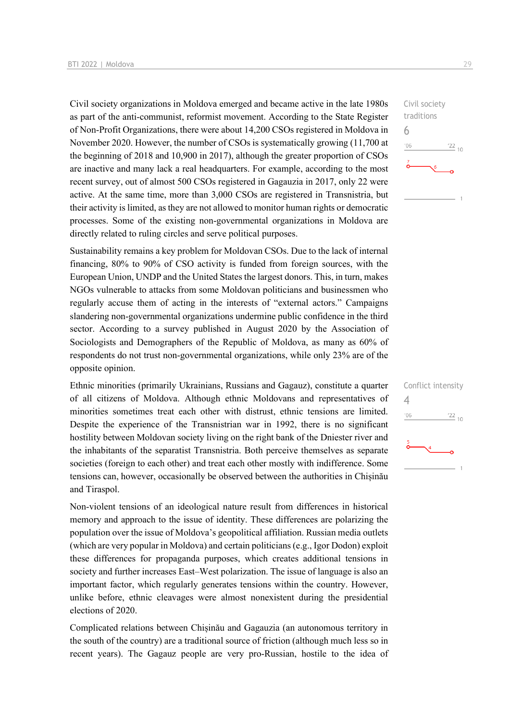Civil society organizations in Moldova emerged and became active in the late 1980s as part of the anti-communist, reformist movement. According to the State Register of Non-Profit Organizations, there were about 14,200 CSOs registered in Moldova in November 2020. However, the number of CSOs is systematically growing (11,700 at the beginning of 2018 and 10,900 in 2017), although the greater proportion of CSOs are inactive and many lack a real headquarters. For example, according to the most recent survey, out of almost 500 CSOs registered in Gagauzia in 2017, only 22 were active. At the same time, more than 3,000 CSOs are registered in Transnistria, but their activity is limited, as they are not allowed to monitor human rights or democratic processes. Some of the existing non-governmental organizations in Moldova are directly related to ruling circles and serve political purposes.

Sustainability remains a key problem for Moldovan CSOs. Due to the lack of internal financing, 80% to 90% of CSO activity is funded from foreign sources, with the European Union, UNDP and the United States the largest donors. This, in turn, makes NGOs vulnerable to attacks from some Moldovan politicians and businessmen who regularly accuse them of acting in the interests of "external actors." Campaigns slandering non-governmental organizations undermine public confidence in the third sector. According to a survey published in August 2020 by the Association of Sociologists and Demographers of the Republic of Moldova, as many as 60% of respondents do not trust non-governmental organizations, while only 23% are of the opposite opinion.

Ethnic minorities (primarily Ukrainians, Russians and Gagauz), constitute a quarter of all citizens of Moldova. Although ethnic Moldovans and representatives of minorities sometimes treat each other with distrust, ethnic tensions are limited. Despite the experience of the Transnistrian war in 1992, there is no significant hostility between Moldovan society living on the right bank of the Dniester river and the inhabitants of the separatist Transnistria. Both perceive themselves as separate societies (foreign to each other) and treat each other mostly with indifference. Some tensions can, however, occasionally be observed between the authorities in Chișinău and Tiraspol.

Non-violent tensions of an ideological nature result from differences in historical memory and approach to the issue of identity. These differences are polarizing the population over the issue of Moldova's geopolitical affiliation. Russian media outlets (which are very popular in Moldova) and certain politicians (e.g., Igor Dodon) exploit these differences for propaganda purposes, which creates additional tensions in society and further increases East–West polarization. The issue of language is also an important factor, which regularly generates tensions within the country. However, unlike before, ethnic cleavages were almost nonexistent during the presidential elections of 2020.

Complicated relations between Chișinău and Gagauzia (an autonomous territory in the south of the country) are a traditional source of friction (although much less so in recent years). The Gagauz people are very pro-Russian, hostile to the idea of



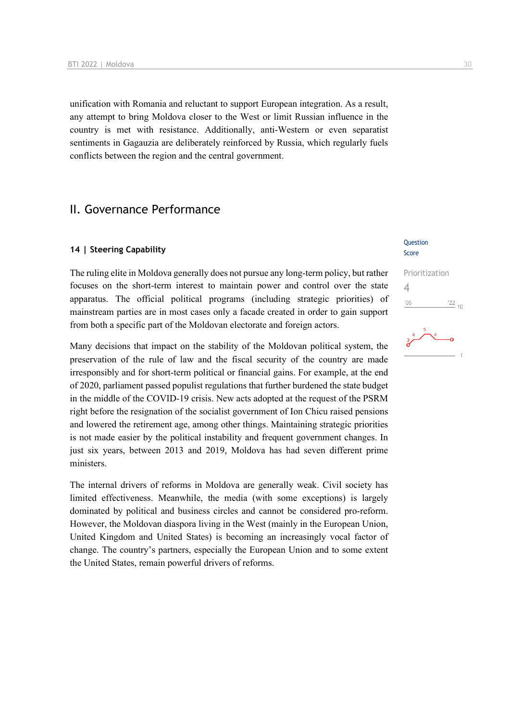unification with Romania and reluctant to support European integration. As a result, any attempt to bring Moldova closer to the West or limit Russian influence in the country is met with resistance. Additionally, anti-Western or even separatist sentiments in Gagauzia are deliberately reinforced by Russia, which regularly fuels conflicts between the region and the central government.

### II. Governance Performance

### **14 | Steering Capability**

The ruling elite in Moldova generally does not pursue any long-term policy, but rather focuses on the short-term interest to maintain power and control over the state apparatus. The official political programs (including strategic priorities) of mainstream parties are in most cases only a facade created in order to gain support from both a specific part of the Moldovan electorate and foreign actors.

Many decisions that impact on the stability of the Moldovan political system, the preservation of the rule of law and the fiscal security of the country are made irresponsibly and for short-term political or financial gains. For example, at the end of 2020, parliament passed populist regulations that further burdened the state budget in the middle of the COVID-19 crisis. New acts adopted at the request of the PSRM right before the resignation of the socialist government of Ion Chicu raised pensions and lowered the retirement age, among other things. Maintaining strategic priorities is not made easier by the political instability and frequent government changes. In just six years, between 2013 and 2019, Moldova has had seven different prime ministers.

The internal drivers of reforms in Moldova are generally weak. Civil society has limited effectiveness. Meanwhile, the media (with some exceptions) is largely dominated by political and business circles and cannot be considered pro-reform. However, the Moldovan diaspora living in the West (mainly in the European Union, United Kingdom and United States) is becoming an increasingly vocal factor of change. The country's partners, especially the European Union and to some extent the United States, remain powerful drivers of reforms.

#### **Ouestion** Score

# Prioritization 4 $\frac{22}{10}$  $106$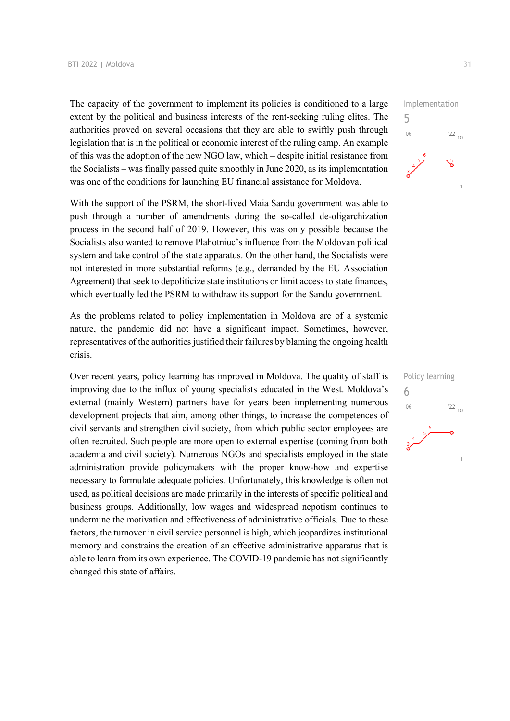The capacity of the government to implement its policies is conditioned to a large extent by the political and business interests of the rent-seeking ruling elites. The authorities proved on several occasions that they are able to swiftly push through legislation that is in the political or economic interest of the ruling camp. An example of this was the adoption of the new NGO law, which – despite initial resistance from the Socialists – was finally passed quite smoothly in June 2020, as its implementation was one of the conditions for launching EU financial assistance for Moldova.

With the support of the PSRM, the short-lived Maia Sandu government was able to push through a number of amendments during the so-called de-oligarchization process in the second half of 2019. However, this was only possible because the Socialists also wanted to remove Plahotniuc's influence from the Moldovan political system and take control of the state apparatus. On the other hand, the Socialists were not interested in more substantial reforms (e.g., demanded by the EU Association Agreement) that seek to depoliticize state institutions or limit access to state finances, which eventually led the PSRM to withdraw its support for the Sandu government.

As the problems related to policy implementation in Moldova are of a systemic nature, the pandemic did not have a significant impact. Sometimes, however, representatives of the authorities justified their failures by blaming the ongoing health crisis.

Over recent years, policy learning has improved in Moldova. The quality of staff is improving due to the influx of young specialists educated in the West. Moldova's external (mainly Western) partners have for years been implementing numerous development projects that aim, among other things, to increase the competences of civil servants and strengthen civil society, from which public sector employees are often recruited. Such people are more open to external expertise (coming from both academia and civil society). Numerous NGOs and specialists employed in the state administration provide policymakers with the proper know-how and expertise necessary to formulate adequate policies. Unfortunately, this knowledge is often not used, as political decisions are made primarily in the interests of specific political and business groups. Additionally, low wages and widespread nepotism continues to undermine the motivation and effectiveness of administrative officials. Due to these factors, the turnover in civil service personnel is high, which jeopardizes institutional memory and constrains the creation of an effective administrative apparatus that is able to learn from its own experience. The COVID-19 pandemic has not significantly changed this state of affairs.



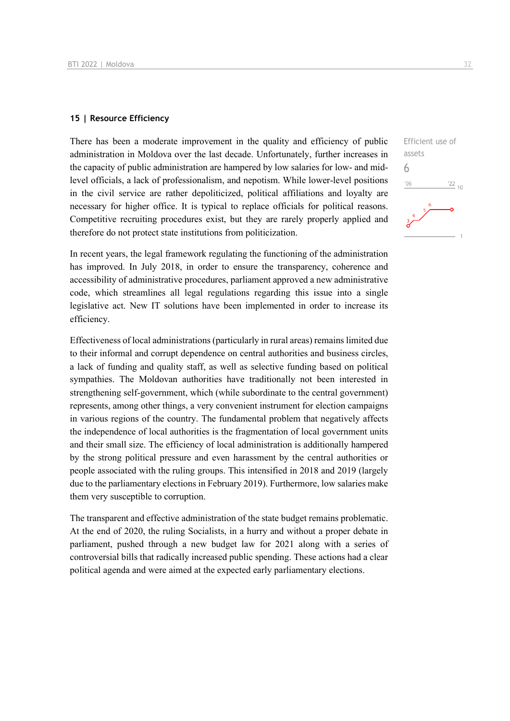### **15 | Resource Efficiency**

There has been a moderate improvement in the quality and efficiency of public administration in Moldova over the last decade. Unfortunately, further increases in the capacity of public administration are hampered by low salaries for low- and midlevel officials, a lack of professionalism, and nepotism. While lower-level positions in the civil service are rather depoliticized, political affiliations and loyalty are necessary for higher office. It is typical to replace officials for political reasons. Competitive recruiting procedures exist, but they are rarely properly applied and therefore do not protect state institutions from politicization.

In recent years, the legal framework regulating the functioning of the administration has improved. In July 2018, in order to ensure the transparency, coherence and accessibility of administrative procedures, parliament approved a new administrative code, which streamlines all legal regulations regarding this issue into a single legislative act. New IT solutions have been implemented in order to increase its efficiency.

Effectiveness of local administrations (particularly in rural areas) remains limited due to their informal and corrupt dependence on central authorities and business circles, a lack of funding and quality staff, as well as selective funding based on political sympathies. The Moldovan authorities have traditionally not been interested in strengthening self-government, which (while subordinate to the central government) represents, among other things, a very convenient instrument for election campaigns in various regions of the country. The fundamental problem that negatively affects the independence of local authorities is the fragmentation of local government units and their small size. The efficiency of local administration is additionally hampered by the strong political pressure and even harassment by the central authorities or people associated with the ruling groups. This intensified in 2018 and 2019 (largely due to the parliamentary elections in February 2019). Furthermore, low salaries make them very susceptible to corruption.

The transparent and effective administration of the state budget remains problematic. At the end of 2020, the ruling Socialists, in a hurry and without a proper debate in parliament, pushed through a new budget law for 2021 along with a series of controversial bills that radically increased public spending. These actions had a clear political agenda and were aimed at the expected early parliamentary elections.

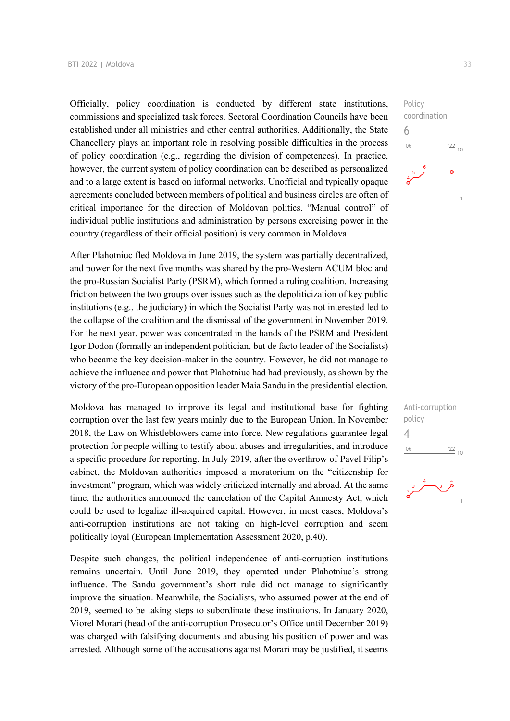Officially, policy coordination is conducted by different state institutions, commissions and specialized task forces. Sectoral Coordination Councils have been established under all ministries and other central authorities. Additionally, the State Chancellery plays an important role in resolving possible difficulties in the process of policy coordination (e.g., regarding the division of competences). In practice, however, the current system of policy coordination can be described as personalized and to a large extent is based on informal networks. Unofficial and typically opaque agreements concluded between members of political and business circles are often of critical importance for the direction of Moldovan politics. "Manual control" of individual public institutions and administration by persons exercising power in the country (regardless of their official position) is very common in Moldova.

After Plahotniuc fled Moldova in June 2019, the system was partially decentralized, and power for the next five months was shared by the pro-Western ACUM bloc and the pro-Russian Socialist Party (PSRM), which formed a ruling coalition. Increasing friction between the two groups over issues such as the depoliticization of key public institutions (e.g., the judiciary) in which the Socialist Party was not interested led to the collapse of the coalition and the dismissal of the government in November 2019. For the next year, power was concentrated in the hands of the PSRM and President Igor Dodon (formally an independent politician, but de facto leader of the Socialists) who became the key decision-maker in the country. However, he did not manage to achieve the influence and power that Plahotniuc had had previously, as shown by the victory of the pro-European opposition leader Maia Sandu in the presidential election.

Moldova has managed to improve its legal and institutional base for fighting corruption over the last few years mainly due to the European Union. In November 2018, the Law on Whistleblowers came into force. New regulations guarantee legal protection for people willing to testify about abuses and irregularities, and introduce a specific procedure for reporting. In July 2019, after the overthrow of Pavel Filip's cabinet, the Moldovan authorities imposed a moratorium on the "citizenship for investment" program, which was widely criticized internally and abroad. At the same time, the authorities announced the cancelation of the Capital Amnesty Act, which could be used to legalize ill-acquired capital. However, in most cases, Moldova's anti-corruption institutions are not taking on high-level corruption and seem politically loyal (European Implementation Assessment 2020, p.40).

Despite such changes, the political independence of anti-corruption institutions remains uncertain. Until June 2019, they operated under Plahotniuc's strong influence. The Sandu government's short rule did not manage to significantly improve the situation. Meanwhile, the Socialists, who assumed power at the end of 2019, seemed to be taking steps to subordinate these institutions. In January 2020, Viorel Morari (head of the anti-corruption Prosecutor's Office until December 2019) was charged with falsifying documents and abusing his position of power and was arrested. Although some of the accusations against Morari may be justified, it seems





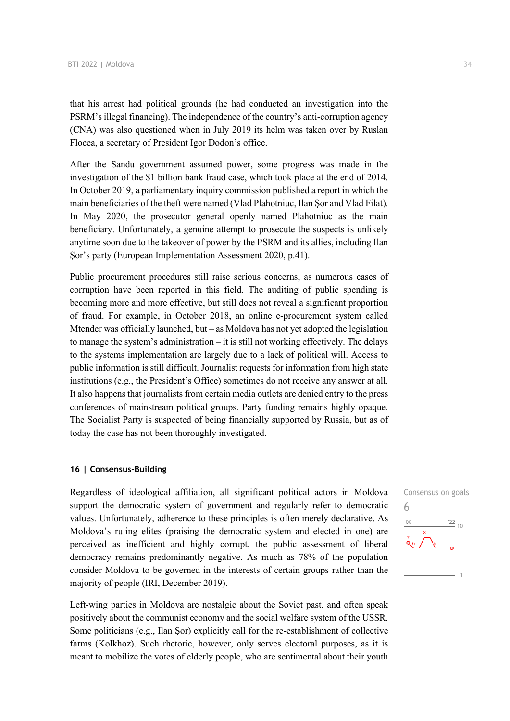that his arrest had political grounds (he had conducted an investigation into the PSRM's illegal financing). The independence of the country's anti-corruption agency (CNA) was also questioned when in July 2019 its helm was taken over by Ruslan Flocea, a secretary of President Igor Dodon's office.

After the Sandu government assumed power, some progress was made in the investigation of the \$1 billion bank fraud case, which took place at the end of 2014. In October 2019, a parliamentary inquiry commission published a report in which the main beneficiaries of the theft were named (Vlad Plahotniuc, Ilan Şor and Vlad Filat). In May 2020, the prosecutor general openly named Plahotniuc as the main beneficiary. Unfortunately, a genuine attempt to prosecute the suspects is unlikely anytime soon due to the takeover of power by the PSRM and its allies, including Ilan Şor's party (European Implementation Assessment 2020, p.41).

Public procurement procedures still raise serious concerns, as numerous cases of corruption have been reported in this field. The auditing of public spending is becoming more and more effective, but still does not reveal a significant proportion of fraud. For example, in October 2018, an online e-procurement system called Mtender was officially launched, but – as Moldova has not yet adopted the legislation to manage the system's administration – it is still not working effectively. The delays to the systems implementation are largely due to a lack of political will. Access to public information is still difficult. Journalist requests for information from high state institutions (e.g., the President's Office) sometimes do not receive any answer at all. It also happens that journalists from certain media outlets are denied entry to the press conferences of mainstream political groups. Party funding remains highly opaque. The Socialist Party is suspected of being financially supported by Russia, but as of today the case has not been thoroughly investigated.

### **16 | Consensus-Building**

Regardless of ideological affiliation, all significant political actors in Moldova support the democratic system of government and regularly refer to democratic values. Unfortunately, adherence to these principles is often merely declarative. As Moldova's ruling elites (praising the democratic system and elected in one) are perceived as inefficient and highly corrupt, the public assessment of liberal democracy remains predominantly negative. As much as 78% of the population consider Moldova to be governed in the interests of certain groups rather than the majority of people (IRI, December 2019).

Left-wing parties in Moldova are nostalgic about the Soviet past, and often speak positively about the communist economy and the social welfare system of the USSR. Some politicians (e.g., Ilan Şor) explicitly call for the re-establishment of collective farms (Kolkhoz). Such rhetoric, however, only serves electoral purposes, as it is meant to mobilize the votes of elderly people, who are sentimental about their youth

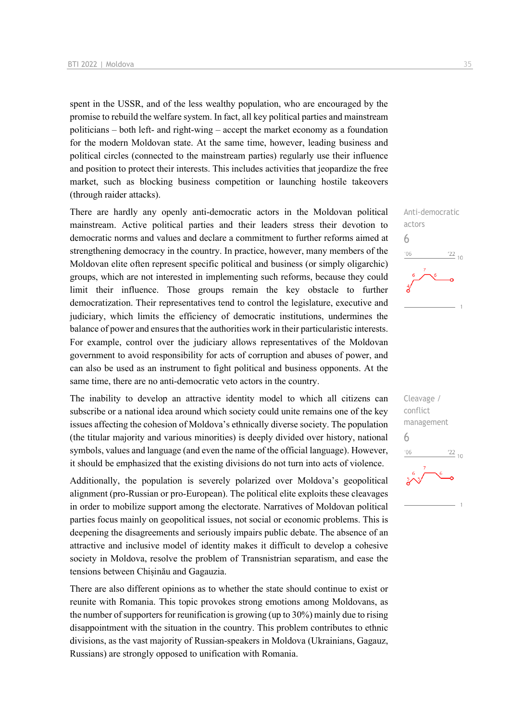spent in the USSR, and of the less wealthy population, who are encouraged by the promise to rebuild the welfare system. In fact, all key political parties and mainstream politicians – both left- and right-wing – accept the market economy as a foundation for the modern Moldovan state. At the same time, however, leading business and political circles (connected to the mainstream parties) regularly use their influence and position to protect their interests. This includes activities that jeopardize the free market, such as blocking business competition or launching hostile takeovers (through raider attacks).

There are hardly any openly anti-democratic actors in the Moldovan political mainstream. Active political parties and their leaders stress their devotion to democratic norms and values and declare a commitment to further reforms aimed at strengthening democracy in the country. In practice, however, many members of the Moldovan elite often represent specific political and business (or simply oligarchic) groups, which are not interested in implementing such reforms, because they could limit their influence. Those groups remain the key obstacle to further democratization. Their representatives tend to control the legislature, executive and judiciary, which limits the efficiency of democratic institutions, undermines the balance of power and ensures that the authorities work in their particularistic interests. For example, control over the judiciary allows representatives of the Moldovan government to avoid responsibility for acts of corruption and abuses of power, and can also be used as an instrument to fight political and business opponents. At the same time, there are no anti-democratic veto actors in the country.

The inability to develop an attractive identity model to which all citizens can subscribe or a national idea around which society could unite remains one of the key issues affecting the cohesion of Moldova's ethnically diverse society. The population (the titular majority and various minorities) is deeply divided over history, national symbols, values and language (and even the name of the official language). However, it should be emphasized that the existing divisions do not turn into acts of violence.

Additionally, the population is severely polarized over Moldova's geopolitical alignment (pro-Russian or pro-European). The political elite exploits these cleavages in order to mobilize support among the electorate. Narratives of Moldovan political parties focus mainly on geopolitical issues, not social or economic problems. This is deepening the disagreements and seriously impairs public debate. The absence of an attractive and inclusive model of identity makes it difficult to develop a cohesive society in Moldova, resolve the problem of Transnistrian separatism, and ease the tensions between Chișinău and Gagauzia.

There are also different opinions as to whether the state should continue to exist or reunite with Romania. This topic provokes strong emotions among Moldovans, as the number of supporters for reunification is growing (up to 30%) mainly due to rising disappointment with the situation in the country. This problem contributes to ethnic divisions, as the vast majority of Russian-speakers in Moldova (Ukrainians, Gagauz, Russians) are strongly opposed to unification with Romania.



Cleavage / conflict management 6 $\frac{22}{10}$  $^{\prime}06$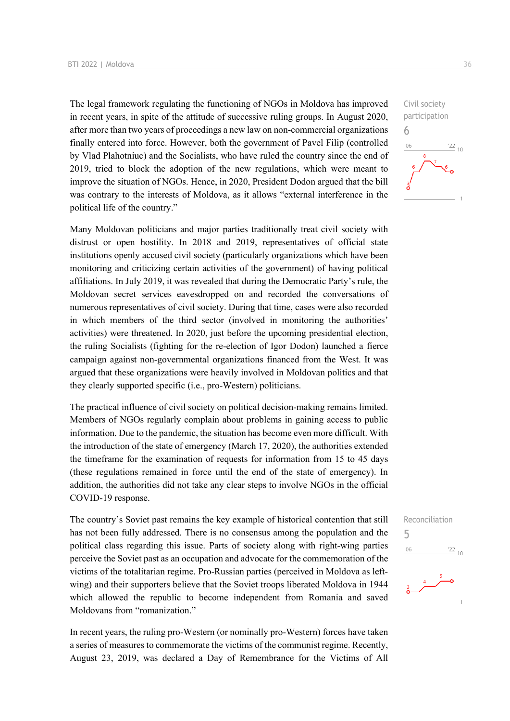The legal framework regulating the functioning of NGOs in Moldova has improved in recent years, in spite of the attitude of successive ruling groups. In August 2020, after more than two years of proceedings a new law on non-commercial organizations finally entered into force. However, both the government of Pavel Filip (controlled by Vlad Plahotniuc) and the Socialists, who have ruled the country since the end of 2019, tried to block the adoption of the new regulations, which were meant to improve the situation of NGOs. Hence, in 2020, President Dodon argued that the bill was contrary to the interests of Moldova, as it allows "external interference in the political life of the country."

Many Moldovan politicians and major parties traditionally treat civil society with distrust or open hostility. In 2018 and 2019, representatives of official state institutions openly accused civil society (particularly organizations which have been monitoring and criticizing certain activities of the government) of having political affiliations. In July 2019, it was revealed that during the Democratic Party's rule, the Moldovan secret services eavesdropped on and recorded the conversations of numerous representatives of civil society. During that time, cases were also recorded in which members of the third sector (involved in monitoring the authorities' activities) were threatened. In 2020, just before the upcoming presidential election, the ruling Socialists (fighting for the re-election of Igor Dodon) launched a fierce campaign against non-governmental organizations financed from the West. It was argued that these organizations were heavily involved in Moldovan politics and that they clearly supported specific (i.e., pro-Western) politicians.

The practical influence of civil society on political decision-making remains limited. Members of NGOs regularly complain about problems in gaining access to public information. Due to the pandemic, the situation has become even more difficult. With the introduction of the state of emergency (March 17, 2020), the authorities extended the timeframe for the examination of requests for information from 15 to 45 days (these regulations remained in force until the end of the state of emergency). In addition, the authorities did not take any clear steps to involve NGOs in the official COVID-19 response.

The country's Soviet past remains the key example of historical contention that still has not been fully addressed. There is no consensus among the population and the political class regarding this issue. Parts of society along with right-wing parties perceive the Soviet past as an occupation and advocate for the commemoration of the victims of the totalitarian regime. Pro-Russian parties (perceived in Moldova as leftwing) and their supporters believe that the Soviet troops liberated Moldova in 1944 which allowed the republic to become independent from Romania and saved Moldovans from "romanization."

In recent years, the ruling pro-Western (or nominally pro-Western) forces have taken a series of measures to commemorate the victims of the communist regime. Recently, August 23, 2019, was declared a Day of Remembrance for the Victims of All



6

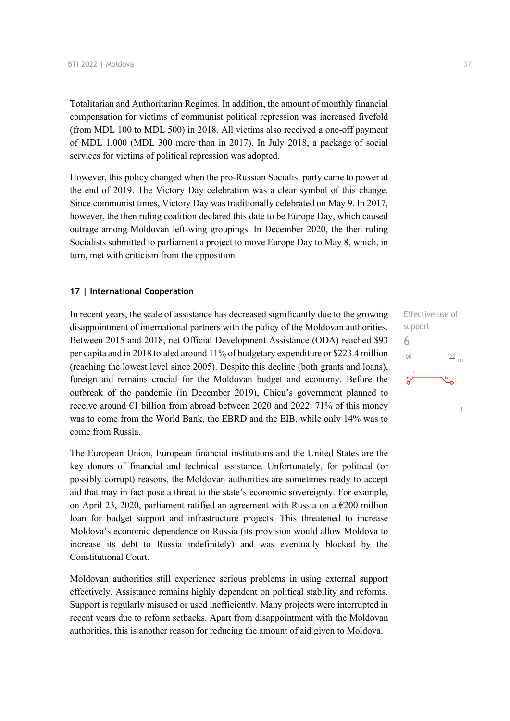Totalitarian and Authoritarian Regimes. In addition, the amount of monthly financial compensation for victims of communist political repression was increased fivefold (from MDL 100 to MDL 500) in 2018. All victims also received a one-off payment of MDL 1,000 (MDL 300 more than in 2017). In July 2018, a package of social services for victims of political repression was adopted.

However, this policy changed when the pro-Russian Socialist party came to power at the end of 2019. The Victory Day celebration was a clear symbol of this change. Since communist times, Victory Day was traditionally celebrated on May 9. In 2017, however, the then ruling coalition declared this date to be Europe Day, which caused outrage among Moldovan left-wing groupings. In December 2020, the then ruling Socialists submitted to parliament a project to move Europe Day to May 8, which, in turn, met with criticism from the opposition.

### **17 | International Cooperation**

In recent years, the scale of assistance has decreased significantly due to the growing disappointment of international partners with the policy of the Moldovan authorities. Between 2015 and 2018, net Official Development Assistance (ODA) reached \$93 per capita and in 2018 totaled around 11% of budgetary expenditure or \$223.4 million (reaching the lowest level since 2005). Despite this decline (both grants and loans), foreign aid remains crucial for the Moldovan budget and economy. Before the outbreak of the pandemic (in December 2019), Chicu's government planned to receive around  $\epsilon$ 1 billion from abroad between 2020 and 2022: 71% of this money was to come from the World Bank, the EBRD and the EIB, while only 14% was to come from Russia.

The European Union, European financial institutions and the United States are the key donors of financial and technical assistance. Unfortunately, for political (or possibly corrupt) reasons, the Moldovan authorities are sometimes ready to accept aid that may in fact pose a threat to the state's economic sovereignty. For example, on April 23, 2020, parliament ratified an agreement with Russia on a €200 million loan for budget support and infrastructure projects. This threatened to increase Moldova's economic dependence on Russia (its provision would allow Moldova to increase its debt to Russia indefinitely) and was eventually blocked by the Constitutional Court.

Moldovan authorities still experience serious problems in using external support effectively. Assistance remains highly dependent on political stability and reforms. Support is regularly misused or used inefficiently. Many projects were interrupted in recent years due to reform setbacks. Apart from disappointment with the Moldovan authorities, this is another reason for reducing the amount of aid given to Moldova.

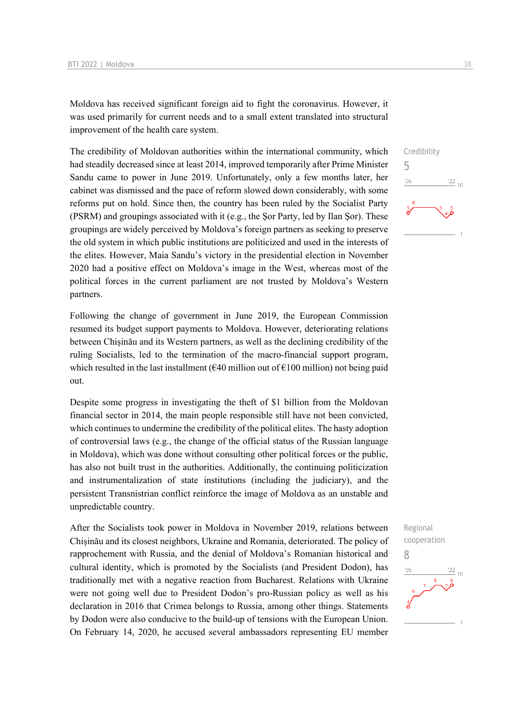Moldova has received significant foreign aid to fight the coronavirus. However, it was used primarily for current needs and to a small extent translated into structural improvement of the health care system.

The credibility of Moldovan authorities within the international community, which had steadily decreased since at least 2014, improved temporarily after Prime Minister Sandu came to power in June 2019. Unfortunately, only a few months later, her cabinet was dismissed and the pace of reform slowed down considerably, with some reforms put on hold. Since then, the country has been ruled by the Socialist Party (PSRM) and groupings associated with it (e.g., the Şor Party, led by Ilan Şor). These groupings are widely perceived by Moldova's foreign partners as seeking to preserve the old system in which public institutions are politicized and used in the interests of the elites. However, Maia Sandu's victory in the presidential election in November 2020 had a positive effect on Moldova's image in the West, whereas most of the political forces in the current parliament are not trusted by Moldova's Western partners.

Following the change of government in June 2019, the European Commission resumed its budget support payments to Moldova. However, deteriorating relations between Chișinău and its Western partners, as well as the declining credibility of the ruling Socialists, led to the termination of the macro-financial support program, which resulted in the last installment ( $\epsilon$ 40 million out of  $\epsilon$ 100 million) not being paid out.

Despite some progress in investigating the theft of \$1 billion from the Moldovan financial sector in 2014, the main people responsible still have not been convicted, which continues to undermine the credibility of the political elites. The hasty adoption of controversial laws (e.g., the change of the official status of the Russian language in Moldova), which was done without consulting other political forces or the public, has also not built trust in the authorities. Additionally, the continuing politicization and instrumentalization of state institutions (including the judiciary), and the persistent Transnistrian conflict reinforce the image of Moldova as an unstable and unpredictable country.

After the Socialists took power in Moldova in November 2019, relations between Chișinău and its closest neighbors, Ukraine and Romania, deteriorated. The policy of rapprochement with Russia, and the denial of Moldova's Romanian historical and cultural identity, which is promoted by the Socialists (and President Dodon), has traditionally met with a negative reaction from Bucharest. Relations with Ukraine were not going well due to President Dodon's pro-Russian policy as well as his declaration in 2016 that Crimea belongs to Russia, among other things. Statements by Dodon were also conducive to the build-up of tensions with the European Union. On February 14, 2020, he accused several ambassadors representing EU member



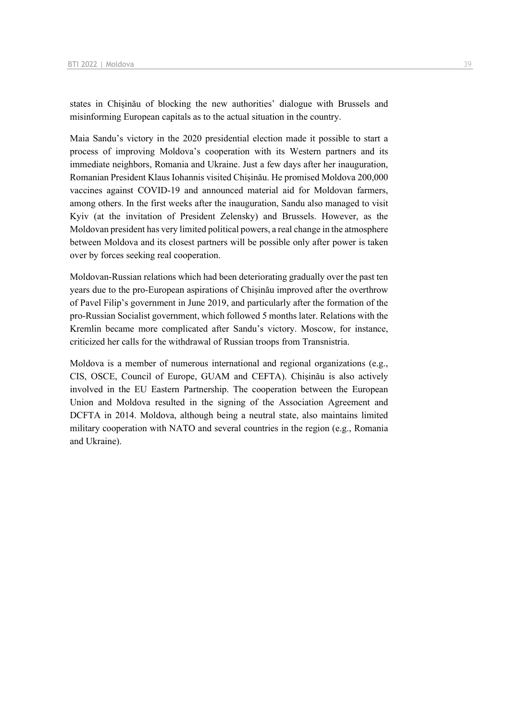states in Chișinău of blocking the new authorities' dialogue with Brussels and misinforming European capitals as to the actual situation in the country.

Maia Sandu's victory in the 2020 presidential election made it possible to start a process of improving Moldova's cooperation with its Western partners and its immediate neighbors, Romania and Ukraine. Just a few days after her inauguration, Romanian President Klaus Iohannis visited Chișinău. He promised Moldova 200,000 vaccines against COVID-19 and announced material aid for Moldovan farmers, among others. In the first weeks after the inauguration, Sandu also managed to visit Kyiv (at the invitation of President Zelensky) and Brussels. However, as the Moldovan president has very limited political powers, a real change in the atmosphere between Moldova and its closest partners will be possible only after power is taken over by forces seeking real cooperation.

Moldovan-Russian relations which had been deteriorating gradually over the past ten years due to the pro-European aspirations of Chișinău improved after the overthrow of Pavel Filip's government in June 2019, and particularly after the formation of the pro-Russian Socialist government, which followed 5 months later. Relations with the Kremlin became more complicated after Sandu's victory. Moscow, for instance, criticized her calls for the withdrawal of Russian troops from Transnistria.

Moldova is a member of numerous international and regional organizations (e.g., CIS, OSCE, Council of Europe, GUAM and CEFTA). Chișinău is also actively involved in the EU Eastern Partnership. The cooperation between the European Union and Moldova resulted in the signing of the Association Agreement and DCFTA in 2014. Moldova, although being a neutral state, also maintains limited military cooperation with NATO and several countries in the region (e.g., Romania and Ukraine).